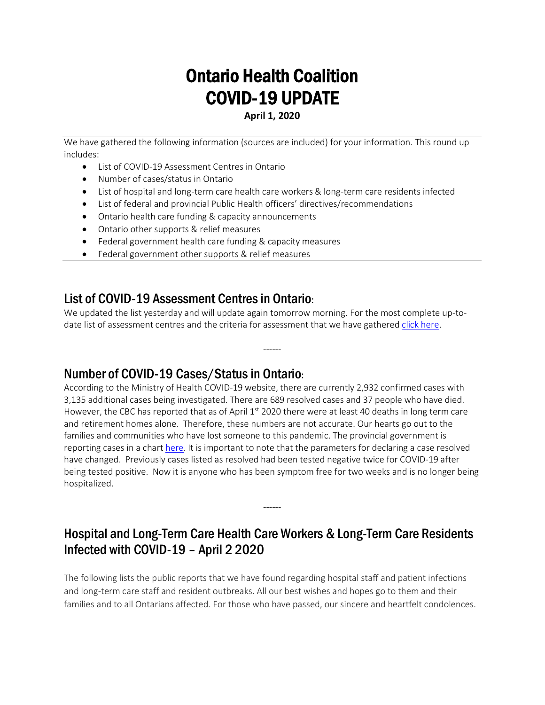# Ontario Health Coalition COVID-19 UPDATE

**April 1, 2020**

We have gathered the following information (sources are included) for your information. This round up includes:

- List of COVID-19 Assessment Centres in Ontario
- Number of cases/status in Ontario
- List of hospital and long-term care health care workers & long-term care residents infected
- List of federal and provincial Public Health officers' directives/recommendations
- Ontario health care funding & capacity announcements
- Ontario other supports & relief measures
- Federal government health care funding & capacity measures
- Federal government other supports & relief measures

## List of COVID-19 Assessment Centres in Ontario:

We updated the list yesterday and will update again tomorrow morning. For the most complete up-todate list of assessment centres and the criteria for assessment that we have gathered click here.

------

## Number of COVID-19 Cases/Status in Ontario:

According to the Ministry of Health COVID-19 website, there are currently 2,932 confirmed cases with 3,135 additional cases being investigated. There are 689 resolved cases and 37 people who have died. However, the CBC has reported that as of April  $1<sup>st</sup>$  2020 there were at least 40 deaths in long term care and retirement homes alone. Therefore, these numbers are not accurate. Our hearts go out to the families and communities who have lost someone to this pandemic. The provincial government is reporting cases in a chart here. It is important to note that the parameters for declaring a case resolved have changed. Previously cases listed as resolved had been tested negative twice for COVID-19 after being tested positive. Now it is anyone who has been symptom free for two weeks and is no longer being hospitalized.

## Hospital and Long-Term Care Health Care Workers & Long-Term Care Residents Infected with COVID-19 – April 2 2020

------

The following lists the public reports that we have found regarding hospital staff and patient infections and long-term care staff and resident outbreaks. All our best wishes and hopes go to them and their families and to all Ontarians affected. For those who have passed, our sincere and heartfelt condolences.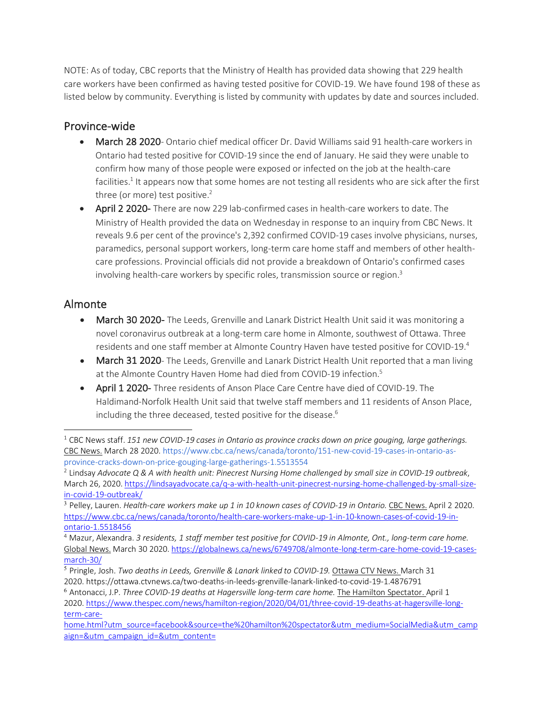NOTE: As of today, CBC reports that the Ministry of Health has provided data showing that 229 health care workers have been confirmed as having tested positive for COVID-19. We have found 198 of these as listed below by community. Everything is listed by community with updates by date and sources included.

## Province-wide

- March 28 2020- Ontario chief medical officer Dr. David Williams said 91 health-care workers in Ontario had tested positive for COVID-19 since the end of January. He said they were unable to confirm how many of those people were exposed or infected on the job at the health-care facilities.<sup>1</sup> It appears now that some homes are not testing all residents who are sick after the first three (or more) test positive. $2$
- April 2 2020- There are now 229 lab-confirmed cases in health-care workers to date. The Ministry of Health provided the data on Wednesday in response to an inquiry from CBC News. It reveals 9.6 per cent of the province's 2,392 confirmed COVID-19 cases involve physicians, nurses, paramedics, personal support workers, long-term care home staff and members of other healthcare professions. Provincial officials did not provide a breakdown of Ontario's confirmed cases involving health-care workers by specific roles, transmission source or region.<sup>3</sup>

## Almonte

- March 30 2020- The Leeds, Grenville and Lanark District Health Unit said it was monitoring a novel coronavirus outbreak at a long-term care home in Almonte, southwest of Ottawa. Three residents and one staff member at Almonte Country Haven have tested positive for COVID-19.4
- March 31 2020- The Leeds, Grenville and Lanark District Health Unit reported that a man living at the Almonte Country Haven Home had died from COVID-19 infection.<sup>5</sup>
- April 1 2020- Three residents of Anson Place Care Centre have died of COVID-19. The Haldimand-Norfolk Health Unit said that twelve staff members and 11 residents of Anson Place, including the three deceased, tested positive for the disease.<sup>6</sup>

<sup>1</sup> CBC News staff. *151 new COVID-19 cases in Ontario as province cracks down on price gouging, large gatherings.* CBC News. March 28 2020. https://www.cbc.ca/news/canada/toronto/151-new-covid-19-cases-in-ontario-asprovince-cracks-down-on-price-gouging-large-gatherings-1.5513554

<sup>2</sup> Lindsay *Advocate Q & A with health unit: Pinecrest Nursing Home challenged by small size in COVID-19 outbreak*, March 26, 2020. https://lindsayadvocate.ca/q-a-with-health-unit-pinecrest-nursing-home-challenged-by-small-sizein-covid-19-outbreak/

<sup>3</sup> Pelley, Lauren. *Health-care workers make up 1 in 10 known cases of COVID-19 in Ontario.* CBC News. April 2 2020. https://www.cbc.ca/news/canada/toronto/health-care-workers-make-up-1-in-10-known-cases-of-covid-19-inontario-1.5518456

<sup>4</sup> Mazur, Alexandra. *3 residents, 1 staff member test positive for COVID-19 in Almonte, Ont., long-term care home.* Global News. March 30 2020. https://globalnews.ca/news/6749708/almonte-long-term-care-home-covid-19-casesmarch-30/

<sup>5</sup> Pringle, Josh. *Two deaths in Leeds, Grenville & Lanark linked to COVID-19.* Ottawa CTV News. March 31 2020. https://ottawa.ctvnews.ca/two-deaths-in-leeds-grenville-lanark-linked-to-covid-19-1.4876791

<sup>6</sup> Antonacci, J.P. *Three COVID-19 deaths at Hagersville long-term care home.* The Hamilton Spectator. April 1 2020. https://www.thespec.com/news/hamilton-region/2020/04/01/three-covid-19-deaths-at-hagersville-longterm-care-

home.html?utm\_source=facebook&source=the%20hamilton%20spectator&utm\_medium=SocialMedia&utm\_camp aign=&utm\_campaign\_id=&utm\_content=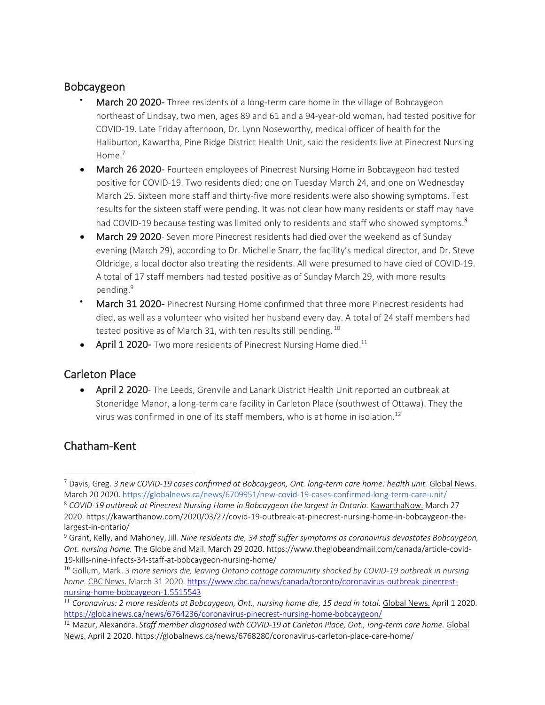### Bobcaygeon

- March 20 2020- Three residents of a long-term care home in the village of Bobcaygeon northeast of Lindsay, two men, ages 89 and 61 and a 94-year-old woman, had tested positive for COVID-19. Late Friday afternoon, Dr. Lynn Noseworthy, medical officer of health for the Haliburton, Kawartha, Pine Ridge District Health Unit, said the residents live at Pinecrest Nursing Home $^7$
- March 26 2020- Fourteen employees of Pinecrest Nursing Home in Bobcaygeon had tested positive for COVID-19. Two residents died; one on Tuesday March 24, and one on Wednesday March 25. Sixteen more staff and thirty-five more residents were also showing symptoms. Test results for the sixteen staff were pending. It was not clear how many residents or staff may have had COVID-19 because testing was limited only to residents and staff who showed symptoms.<sup>8</sup>
- March 29 2020- Seven more Pinecrest residents had died over the weekend as of Sunday evening (March 29), according to Dr. Michelle Snarr, the facility's medical director, and Dr. Steve Oldridge, a local doctor also treating the residents. All were presumed to have died of COVID-19. A total of 17 staff members had tested positive as of Sunday March 29, with more results pending.<sup>9</sup>
- March 31 2020- Pinecrest Nursing Home confirmed that three more Pinecrest residents had died, as well as a volunteer who visited her husband every day. A total of 24 staff members had tested positive as of March 31, with ten results still pending.<sup>10</sup>
- April 1 2020- Two more residents of Pinecrest Nursing Home died.<sup>11</sup>

### Carleton Place

• April 2 2020- The Leeds, Grenvile and Lanark District Health Unit reported an outbreak at Stoneridge Manor, a long-term care facility in Carleton Place (southwest of Ottawa). They the virus was confirmed in one of its staff members, who is at home in isolation.<sup>12</sup>

### Chatham-Kent

<sup>7</sup> Davis, Greg. *3 new COVID-19 cases confirmed at Bobcaygeon, Ont. long-term care home: health unit.* Global News. March 20 2020. https://globalnews.ca/news/6709951/new-covid-19-cases-confirmed-long-term-care-unit/

<sup>8</sup> *COVID-19 outbreak at Pinecrest Nursing Home in Bobcaygeon the largest in Ontario.* KawarthaNow. March 27 2020. https://kawarthanow.com/2020/03/27/covid-19-outbreak-at-pinecrest-nursing-home-in-bobcaygeon-thelargest-in-ontario/

<sup>9</sup> Grant, Kelly, and Mahoney, Jill. *Nine residents die, 34 staff suffer symptoms as coronavirus devastates Bobcaygeon, Ont. nursing home.* The Globe and Mail. March 29 2020. https://www.theglobeandmail.com/canada/article-covid-19-kills-nine-infects-34-staff-at-bobcaygeon-nursing-home/

<sup>10</sup> Gollum, Mark. *3 more seniors die, leaving Ontario cottage community shocked by COVID-19 outbreak in nursing home.* CBC News. March 31 2020. https://www.cbc.ca/news/canada/toronto/coronavirus-outbreak-pinecrestnursing-home-bobcaygeon-1.5515543

<sup>11</sup> *Coronavirus: 2 more residents at Bobcaygeon, Ont., nursing home die, 15 dead in total.* Global News. April 1 2020. https://globalnews.ca/news/6764236/coronavirus-pinecrest-nursing-home-bobcaygeon/

<sup>&</sup>lt;sup>12</sup> Mazur, Alexandra. *Staff member diagnosed with COVID-19 at Carleton Place, Ont., long-term care home. Global* News. April 2 2020. https://globalnews.ca/news/6768280/coronavirus-carleton-place-care-home/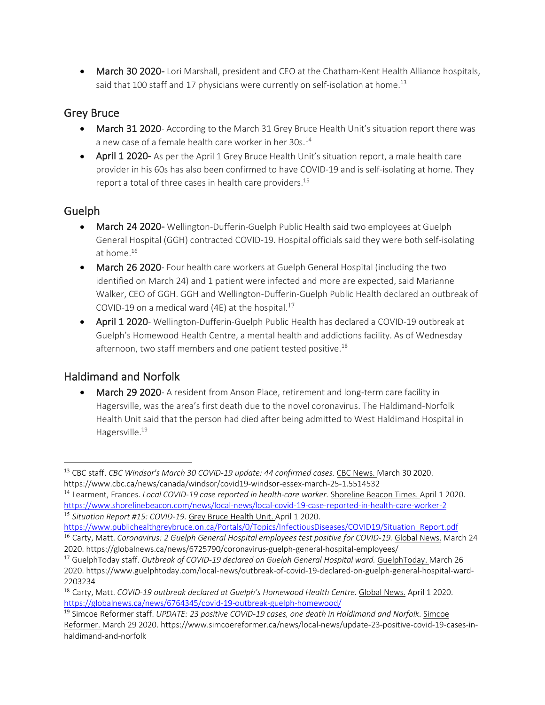• March 30 2020- Lori Marshall, president and CEO at the Chatham-Kent Health Alliance hospitals, said that 100 staff and 17 physicians were currently on self-isolation at home.<sup>13</sup>

## Grey Bruce

- March 31 2020- According to the March 31 Grey Bruce Health Unit's situation report there was a new case of a female health care worker in her 30s.<sup>14</sup>
- April 1 2020- As per the April 1 Grey Bruce Health Unit's situation report, a male health care provider in his 60s has also been confirmed to have COVID-19 and is self-isolating at home. They report a total of three cases in health care providers.<sup>15</sup>

## Guelph

 $\overline{a}$ 

- March 24 2020- Wellington-Dufferin-Guelph Public Health said two employees at Guelph General Hospital (GGH) contracted COVID-19. Hospital officials said they were both self-isolating at home.16
- March 26 2020- Four health care workers at Guelph General Hospital (including the two identified on March 24) and 1 patient were infected and more are expected, said Marianne Walker, CEO of GGH. GGH and Wellington-Dufferin-Guelph Public Health declared an outbreak of COVID-19 on a medical ward (4E) at the hospital.<sup>17</sup>
- April 1 2020- Wellington-Dufferin-Guelph Public Health has declared a COVID-19 outbreak at Guelph's Homewood Health Centre, a mental health and addictions facility. As of Wednesday afternoon, two staff members and one patient tested positive.<sup>18</sup>

## Haldimand and Norfolk

• March 29 2020- A resident from Anson Place, retirement and long-term care facility in Hagersville, was the area's first death due to the novel coronavirus. The Haldimand-Norfolk Health Unit said that the person had died after being admitted to West Haldimand Hospital in Hagersville.<sup>19</sup>

<sup>14</sup> Learment, Frances. *Local COVID-19 case reported in health-care worker.* Shoreline Beacon Times. April 1 2020. https://www.shorelinebeacon.com/news/local-news/local-covid-19-case-reported-in-health-care-worker-2 <sup>15</sup> *Situation Report #15: COVID-19.* Grey Bruce Health Unit. April 1 2020.

<sup>16</sup> Carty, Matt. *Coronavirus: 2 Guelph General Hospital employees test positive for COVID-19. Global News*. March 24 2020. https://globalnews.ca/news/6725790/coronavirus-guelph-general-hospital-employees/

<sup>13</sup> CBC staff. *CBC Windsor's March 30 COVID-19 update: 44 confirmed cases.* CBC News. March 30 2020. https://www.cbc.ca/news/canada/windsor/covid19-windsor-essex-march-25-1.5514532

https://www.publichealthgreybruce.on.ca/Portals/0/Topics/InfectiousDiseases/COVID19/Situation\_Report.pdf

<sup>17</sup> GuelphToday staff. *Outbreak of COVID-19 declared on Guelph General Hospital ward.* GuelphToday. March 26 2020. https://www.guelphtoday.com/local-news/outbreak-of-covid-19-declared-on-guelph-general-hospital-ward-2203234

<sup>&</sup>lt;sup>18</sup> Carty, Matt. *COVID-19 outbreak declared at Guelph's Homewood Health Centre.* Global News. April 1 2020. https://globalnews.ca/news/6764345/covid-19-outbreak-guelph-homewood/

<sup>19</sup> Simcoe Reformer staff. *UPDATE: 23 positive COVID-19 cases, one death in Haldimand and Norfolk.* Simcoe Reformer. March 29 2020. https://www.simcoereformer.ca/news/local-news/update-23-positive-covid-19-cases-inhaldimand-and-norfolk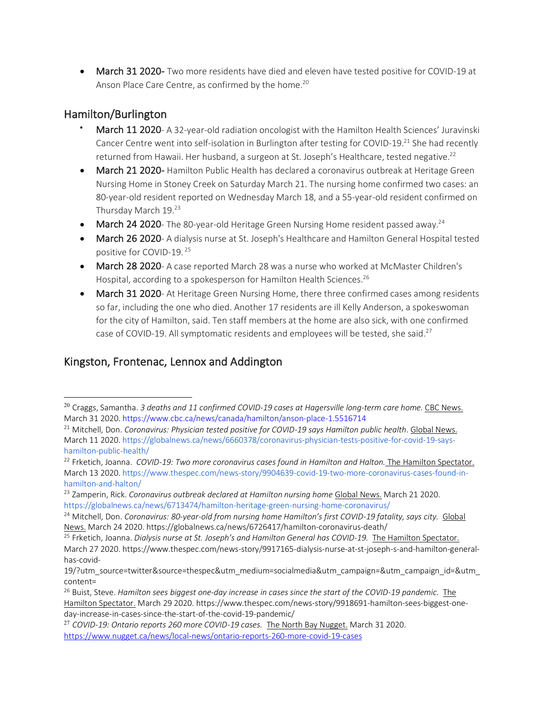• March 31 2020- Two more residents have died and eleven have tested positive for COVID-19 at Anson Place Care Centre, as confirmed by the home.<sup>20</sup>

## Hamilton/Burlington

- March 11 2020- A 32-year-old radiation oncologist with the Hamilton Health Sciences' Juravinski Cancer Centre went into self-isolation in Burlington after testing for COVID-19.<sup>21</sup> She had recently returned from Hawaii. Her husband, a surgeon at St. Joseph's Healthcare, tested negative.<sup>22</sup>
- March 21 2020- Hamilton Public Health has declared a coronavirus outbreak at Heritage Green Nursing Home in Stoney Creek on Saturday March 21. The nursing home confirmed two cases: an 80-year-old resident reported on Wednesday March 18, and a 55-year-old resident confirmed on Thursday March 19.23
- March 24 2020- The 80-year-old Heritage Green Nursing Home resident passed away.<sup>24</sup>
- March 26 2020- A dialysis nurse at St. Joseph's Healthcare and Hamilton General Hospital tested positive for COVID-19. <sup>25</sup>
- March 28 2020- A case reported March 28 was a nurse who worked at McMaster Children's Hospital, according to a spokesperson for Hamilton Health Sciences.<sup>26</sup>
- March 31 2020- At Heritage Green Nursing Home, there three confirmed cases among residents so far, including the one who died. Another 17 residents are ill Kelly Anderson, a spokeswoman for the city of Hamilton, said. Ten staff members at the home are also sick, with one confirmed case of COVID-19. All symptomatic residents and employees will be tested, she said.<sup>27</sup>

## Kingston, Frontenac, Lennox and Addington

 <sup>20</sup> Craggs, Samantha. *3 deaths and 11 confirmed COVID-19 cases at Hagersville long-term care home.* CBC News. March 31 2020. https://www.cbc.ca/news/canada/hamilton/anson-place-1.5516714

<sup>21</sup> Mitchell, Don. *Coronavirus: Physician tested positive for COVID-19 says Hamilton public health*. Global News. March 11 2020. https://globalnews.ca/news/6660378/coronavirus-physician-tests-positive-for-covid-19-sayshamilton-public-health/

<sup>22</sup> Frketich, Joanna. *COVID-19: Two more coronavirus cases found in Hamilton and Halton.* The Hamilton Spectator. March 13 2020. https://www.thespec.com/news-story/9904639-covid-19-two-more-coronavirus-cases-found-inhamilton-and-halton/

<sup>&</sup>lt;sup>23</sup> Zamperin, Rick. *Coronavirus outbreak declared at Hamilton nursing home* Global News. March 21 2020. https://globalnews.ca/news/6713474/hamilton-heritage-green-nursing-home-coronavirus/

<sup>24</sup> Mitchell, Don. *Coronavirus: 80-year-old from nursing home Hamilton's first COVID-19 fatality, says city.* Global News. March 24 2020. https://globalnews.ca/news/6726417/hamilton-coronavirus-death/

<sup>&</sup>lt;sup>25</sup> Frketich, Joanna. *Dialysis nurse at St. Joseph's and Hamilton General has COVID-19.* The Hamilton Spectator. March 27 2020. https://www.thespec.com/news-story/9917165-dialysis-nurse-at-st-joseph-s-and-hamilton-generalhas-covid-

<sup>19/?</sup>utm\_source=twitter&source=thespec&utm\_medium=socialmedia&utm\_campaign=&utm\_campaign\_id=&utm\_ content=

<sup>&</sup>lt;sup>26</sup> Buist, Steve. *Hamilton sees biggest one-day increase in cases since the start of the COVID-19 pandemic. The* Hamilton Spectator. March 29 2020. https://www.thespec.com/news-story/9918691-hamilton-sees-biggest-oneday-increase-in-cases-since-the-start-of-the-covid-19-pandemic/

<sup>27</sup> *COVID-19: Ontario reports 260 more COVID-19 cases.* The North Bay Nugget. March 31 2020. https://www.nugget.ca/news/local-news/ontario-reports-260-more-covid-19-cases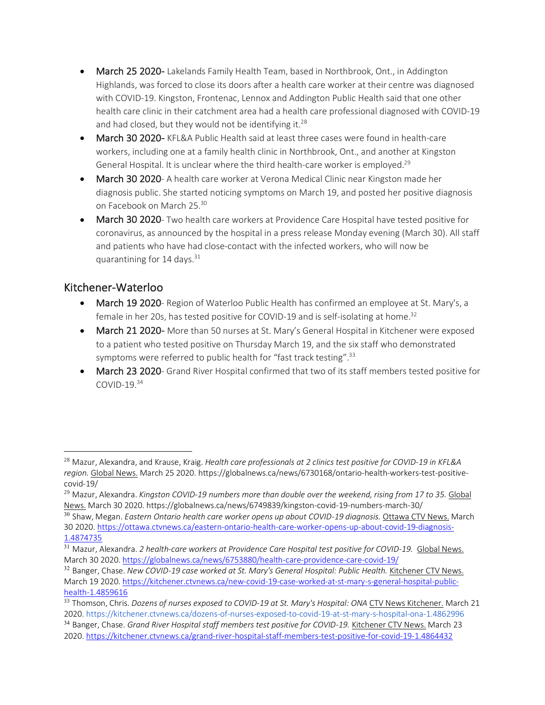- March 25 2020- Lakelands Family Health Team, based in Northbrook, Ont., in Addington Highlands, was forced to close its doors after a health care worker at their centre was diagnosed with COVID-19. Kingston, Frontenac, Lennox and Addington Public Health said that one other health care clinic in their catchment area had a health care professional diagnosed with COVID-19 and had closed, but they would not be identifying it. $^{28}$
- March 30 2020- KFL&A Public Health said at least three cases were found in health-care workers, including one at a family health clinic in Northbrook, Ont., and another at Kingston General Hospital. It is unclear where the third health-care worker is employed.<sup>29</sup>
- March 30 2020- A health care worker at Verona Medical Clinic near Kingston made her diagnosis public. She started noticing symptoms on March 19, and posted her positive diagnosis on Facebook on March 25.30
- March 30 2020- Two health care workers at Providence Care Hospital have tested positive for coronavirus, as announced by the hospital in a press release Monday evening (March 30). All staff and patients who have had close-contact with the infected workers, who will now be quarantining for  $14$  days.<sup>31</sup>

## Kitchener-Waterloo

- March 19 2020- Region of Waterloo Public Health has confirmed an employee at St. Mary's, a female in her 20s, has tested positive for COVID-19 and is self-isolating at home.32
- March 21 2020- More than 50 nurses at St. Mary's General Hospital in Kitchener were exposed to a patient who tested positive on Thursday March 19, and the six staff who demonstrated symptoms were referred to public health for "fast track testing".<sup>33</sup>
- March 23 2020- Grand River Hospital confirmed that two of its staff members tested positive for  $COVID-19.<sup>34</sup>$

<sup>28</sup> Mazur, Alexandra, and Krause, Kraig. *Health care professionals at 2 clinics test positive for COVID-19 in KFL&A region.* Global News. March 25 2020. https://globalnews.ca/news/6730168/ontario-health-workers-test-positivecovid-19/

<sup>&</sup>lt;sup>29</sup> Mazur, Alexandra. *Kingston COVID-19 numbers more than double over the weekend, rising from 17 to 35. Global* News. March 30 2020. https://globalnews.ca/news/6749839/kingston-covid-19-numbers-march-30/

<sup>30</sup> Shaw, Megan. *Eastern Ontario health care worker opens up about COVID-19 diagnosis.* Ottawa CTV News. March 30 2020. https://ottawa.ctvnews.ca/eastern-ontario-health-care-worker-opens-up-about-covid-19-diagnosis-1.4874735

<sup>&</sup>lt;sup>31</sup> Mazur, Alexandra. 2 health-care workers at Providence Care Hospital test positive for COVID-19. Global News. March 30 2020. https://globalnews.ca/news/6753880/health-care-providence-care-covid-19/

<sup>32</sup> Banger, Chase. *New COVID-19 case worked at St. Mary's General Hospital: Public Health.* Kitchener CTV News. March 19 2020. https://kitchener.ctvnews.ca/new-covid-19-case-worked-at-st-mary-s-general-hospital-publichealth-1.4859616

<sup>33</sup> Thomson, Chris. *Dozens of nurses exposed to COVID-19 at St. Mary's Hospital: ONA* CTV News Kitchener. March 21 2020. https://kitchener.ctvnews.ca/dozens-of-nurses-exposed-to-covid-19-at-st-mary-s-hospital-ona-1.4862996 <sup>34</sup> Banger, Chase. *Grand River Hospital staff members test positive for COVID-19.* Kitchener CTV News. March 23 2020. https://kitchener.ctvnews.ca/grand-river-hospital-staff-members-test-positive-for-covid-19-1.4864432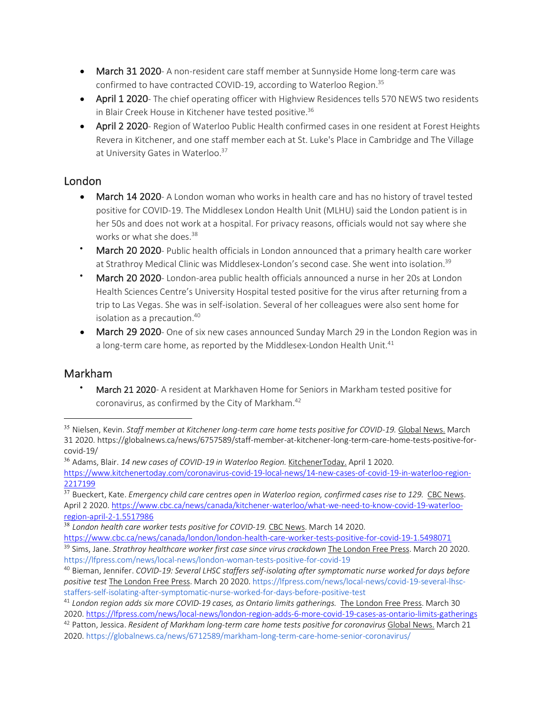- March 31 2020- A non-resident care staff member at Sunnyside Home long-term care was confirmed to have contracted COVID-19, according to Waterloo Region.<sup>35</sup>
- April 1 2020- The chief operating officer with Highview Residences tells 570 NEWS two residents in Blair Creek House in Kitchener have tested positive.<sup>36</sup>
- April 2 2020- Region of Waterloo Public Health confirmed cases in one resident at Forest Heights Revera in Kitchener, and one staff member each at St. Luke's Place in Cambridge and The Village at University Gates in Waterloo.<sup>37</sup>

#### London

- March 14 2020- A London woman who works in health care and has no history of travel tested positive for COVID-19. The Middlesex London Health Unit (MLHU) said the London patient is in her 50s and does not work at a hospital. For privacy reasons, officials would not say where she works or what she does.<sup>38</sup>
- March 20 2020- Public health officials in London announced that a primary health care worker at Strathroy Medical Clinic was Middlesex-London's second case. She went into isolation.<sup>39</sup>
- March 20 2020- London-area public health officials announced a nurse in her 20s at London Health Sciences Centre's University Hospital tested positive for the virus after returning from a trip to Las Vegas. She was in self-isolation. Several of her colleagues were also sent home for isolation as a precaution.<sup>40</sup>
- **March 29 2020** One of six new cases announced Sunday March 29 in the London Region was in a long-term care home, as reported by the Middlesex-London Health Unit.<sup>41</sup>

### Markham

• March 21 2020- A resident at Markhaven Home for Seniors in Markham tested positive for coronavirus, as confirmed by the City of Markham.<sup>42</sup>

<sup>38</sup> London health care worker tests positive for COVID-19. CBC News. March 14 2020.

2020. https://globalnews.ca/news/6712589/markham-long-term-care-home-senior-coronavirus/

 <sup>35</sup> Nielsen, Kevin. *Staff member at Kitchener long-term care home tests positive for COVID-19.* Global News. March 31 2020. https://globalnews.ca/news/6757589/staff-member-at-kitchener-long-term-care-home-tests-positive-forcovid-19/

<sup>36</sup> Adams, Blair. *14 new cases of COVID-19 in Waterloo Region.* KitchenerToday. April 1 2020.

https://www.kitchenertoday.com/coronavirus-covid-19-local-news/14-new-cases-of-covid-19-in-waterloo-region-2217199

<sup>&</sup>lt;sup>37</sup> Bueckert, Kate. *Emergency child care centres open in Waterloo region, confirmed cases rise to 129. CBC News.* April 2 2020. https://www.cbc.ca/news/canada/kitchener-waterloo/what-we-need-to-know-covid-19-waterlooregion-april-2-1.5517986

https://www.cbc.ca/news/canada/london/london-health-care-worker-tests-positive-for-covid-19-1.5498071

<sup>39</sup> Sims, Jane. *Strathroy healthcare worker first case since virus crackdown* The London Free Press. March 20 2020. https://lfpress.com/news/local-news/london-woman-tests-positive-for-covid-19

<sup>40</sup> Bieman, Jennifer. *COVID-19: Several LHSC staffers self-isolating after symptomatic nurse worked for days before positive test* The London Free Press. March 20 2020. https://lfpress.com/news/local-news/covid-19-several-lhscstaffers-self-isolating-after-symptomatic-nurse-worked-for-days-before-positive-test

<sup>41</sup> *London region adds six more COVID-19 cases, as Ontario limits gatherings.* The London Free Press. March 30 2020. https://lfpress.com/news/local-news/london-region-adds-6-more-covid-19-cases-as-ontario-limits-gatherings <sup>42</sup> Patton, Jessica. *Resident of Markham long-term care home tests positive for coronavirus* Global News. March 21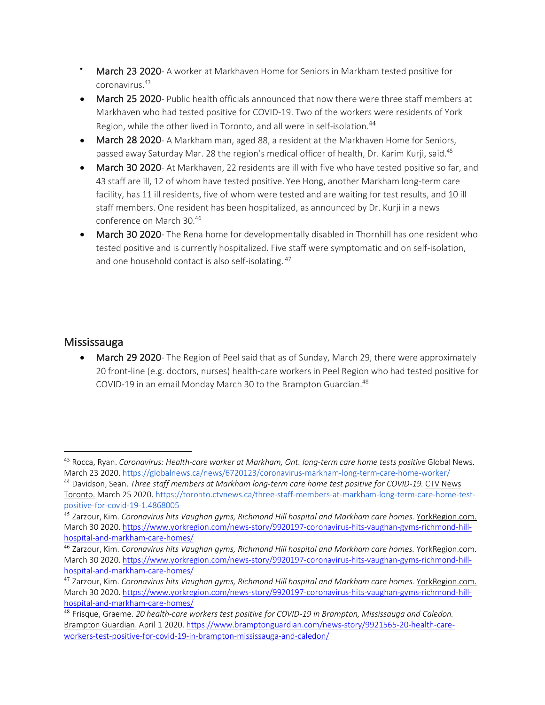- March 23 2020- A worker at Markhaven Home for Seniors in Markham tested positive for coronavirus.43
- March 25 2020- Public health officials announced that now there were three staff members at Markhaven who had tested positive for COVID-19. Two of the workers were residents of York Region, while the other lived in Toronto, and all were in self-isolation.<sup>44</sup>
- March 28 2020- A Markham man, aged 88, a resident at the Markhaven Home for Seniors, passed away Saturday Mar. 28 the region's medical officer of health, Dr. Karim Kurji, said.<sup>45</sup>
- March 30 2020- At Markhaven, 22 residents are ill with five who have tested positive so far, and 43 staff are ill, 12 of whom have tested positive. Yee Hong, another Markham long-term care facility, has 11 ill residents, five of whom were tested and are waiting for test results, and 10 ill staff members. One resident has been hospitalized, as announced by Dr. Kurji in a news conference on March 30.46
- March 30 2020- The Rena home for developmentally disabled in Thornhill has one resident who tested positive and is currently hospitalized. Five staff were symptomatic and on self-isolation, and one household contact is also self-isolating.<sup>47</sup>

### **Mississauga**

 $\overline{a}$ 

• March 29 2020- The Region of Peel said that as of Sunday, March 29, there were approximately 20 front-line (e.g. doctors, nurses) health-care workers in Peel Region who had tested positive for COVID-19 in an email Monday March 30 to the Brampton Guardian.<sup>48</sup>

<sup>43</sup> Rocca, Ryan. *Coronavirus: Health-care worker at Markham, Ont. long-term care home tests positive* Global News. March 23 2020. https://globalnews.ca/news/6720123/coronavirus-markham-long-term-care-home-worker/

<sup>44</sup> Davidson, Sean. *Three staff members at Markham long-term care home test positive for COVID-19.* CTV News Toronto. March 25 2020. https://toronto.ctvnews.ca/three-staff-members-at-markham-long-term-care-home-testpositive-for-covid-19-1.4868005

<sup>45</sup> Zarzour, Kim. *Coronavirus hits Vaughan gyms, Richmond Hill hospital and Markham care homes.* YorkRegion.com. March 30 2020. https://www.yorkregion.com/news-story/9920197-coronavirus-hits-vaughan-gyms-richmond-hillhospital-and-markham-care-homes/

<sup>46</sup> Zarzour, Kim. *Coronavirus hits Vaughan gyms, Richmond Hill hospital and Markham care homes.* YorkRegion.com. March 30 2020. https://www.yorkregion.com/news-story/9920197-coronavirus-hits-vaughan-gyms-richmond-hillhospital-and-markham-care-homes/

<sup>47</sup> Zarzour, Kim. *Coronavirus hits Vaughan gyms, Richmond Hill hospital and Markham care homes.* YorkRegion.com. March 30 2020. https://www.yorkregion.com/news-story/9920197-coronavirus-hits-vaughan-gyms-richmond-hillhospital-and-markham-care-homes/

<sup>48</sup> Frisque, Graeme. *20 health-care workers test positive for COVID-19 in Brampton, Mississauga and Caledon.*  Brampton Guardian. April 1 2020. https://www.bramptonguardian.com/news-story/9921565-20-health-careworkers-test-positive-for-covid-19-in-brampton-mississauga-and-caledon/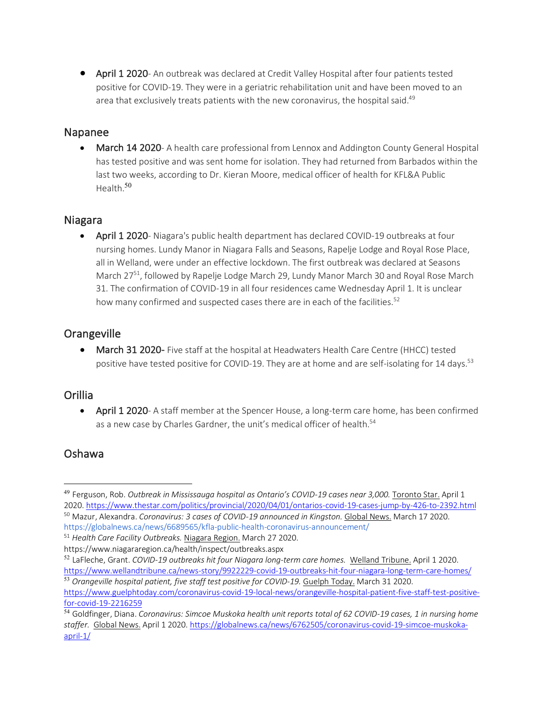• April 1 2020- An outbreak was declared at Credit Valley Hospital after four patients tested positive for COVID-19. They were in a geriatric rehabilitation unit and have been moved to an area that exclusively treats patients with the new coronavirus, the hospital said.<sup>49</sup>

#### Napanee

March 14 2020- A health care professional from Lennox and Addington County General Hospital has tested positive and was sent home for isolation. They had returned from Barbados within the last two weeks, according to Dr. Kieran Moore, medical officer of health for KFL&A Public Health.<sup>50</sup>

#### Niagara

• April 1 2020- Niagara's public health department has declared COVID-19 outbreaks at four nursing homes. Lundy Manor in Niagara Falls and Seasons, Rapelje Lodge and Royal Rose Place, all in Welland, were under an effective lockdown. The first outbreak was declared at Seasons March 27<sup>51</sup>, followed by Rapelje Lodge March 29, Lundy Manor March 30 and Royal Rose March 31. The confirmation of COVID-19 in all four residences came Wednesday April 1. It is unclear how many confirmed and suspected cases there are in each of the facilities.<sup>52</sup>

### **Orangeville**

• March 31 2020- Five staff at the hospital at Headwaters Health Care Centre (HHCC) tested positive have tested positive for COVID-19. They are at home and are self-isolating for 14 days.<sup>53</sup>

#### Orillia

• April 1 2020- A staff member at the Spencer House, a long-term care home, has been confirmed as a new case by Charles Gardner, the unit's medical officer of health.<sup>54</sup>

### Oshawa

https://globalnews.ca/news/6689565/kfla-public-health-coronavirus-announcement/

https://www.niagararegion.ca/health/inspect/outbreaks.aspx

<sup>&</sup>lt;sup>49</sup> Ferguson, Rob. *Outbreak in Mississauga hospital as Ontario's COVID-19 cases near 3,000. Toronto Star. April 1* 2020. https://www.thestar.com/politics/provincial/2020/04/01/ontarios-covid-19-cases-jump-by-426-to-2392.html <sup>50</sup> Mazur, Alexandra. *Coronavirus: 3 cases of COVID-19 announced in Kingston.* Global News. March 17 2020.

<sup>51</sup> *Health Care Facility Outbreaks.* Niagara Region. March 27 2020.

<sup>52</sup> LaFleche, Grant. *COVID-19 outbreaks hit four Niagara long-term care homes.* Welland Tribune. April 1 2020. https://www.wellandtribune.ca/news-story/9922229-covid-19-outbreaks-hit-four-niagara-long-term-care-homes/

<sup>&</sup>lt;sup>53</sup> Orangeville hospital patient, five staff test positive for COVID-19. Guelph Today. March 31 2020. https://www.guelphtoday.com/coronavirus-covid-19-local-news/orangeville-hospital-patient-five-staff-test-positivefor-covid-19-2216259

<sup>54</sup> Goldfinger, Diana. *Coronavirus: Simcoe Muskoka health unit reports total of 62 COVID-19 cases, 1 in nursing home staffer.* Global News. April 1 2020. https://globalnews.ca/news/6762505/coronavirus-covid-19-simcoe-muskokaapril-1/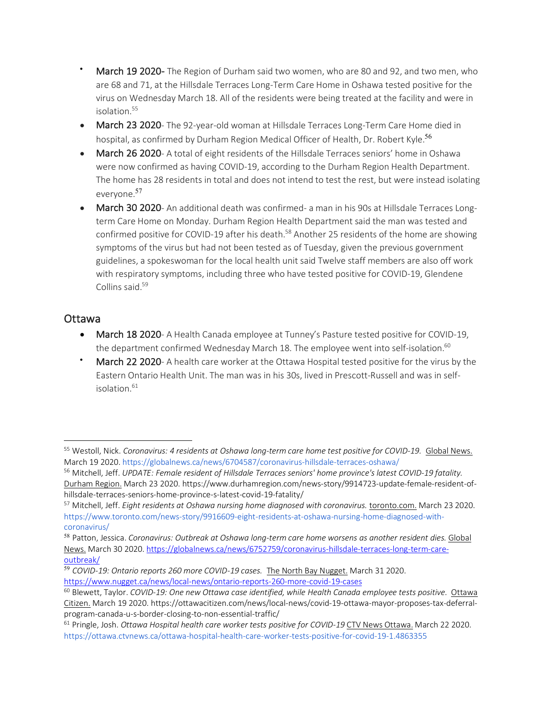- March 19 2020- The Region of Durham said two women, who are 80 and 92, and two men, who are 68 and 71, at the Hillsdale Terraces Long-Term Care Home in Oshawa tested positive for the virus on Wednesday March 18. All of the residents were being treated at the facility and were in isolation.55
- March 23 2020- The 92-year-old woman at Hillsdale Terraces Long-Term Care Home died in hospital, as confirmed by Durham Region Medical Officer of Health, Dr. Robert Kyle.<sup>56</sup>
- March 26 2020- A total of eight residents of the Hillsdale Terraces seniors' home in Oshawa were now confirmed as having COVID-19, according to the Durham Region Health Department. The home has 28 residents in total and does not intend to test the rest, but were instead isolating everyone.<sup>57</sup>
- March 30 2020- An additional death was confirmed- a man in his 90s at Hillsdale Terraces Longterm Care Home on Monday. Durham Region Health Department said the man was tested and confirmed positive for COVID-19 after his death.<sup>58</sup> Another 25 residents of the home are showing symptoms of the virus but had not been tested as of Tuesday, given the previous government guidelines, a spokeswoman for the local health unit said Twelve staff members are also off work with respiratory symptoms, including three who have tested positive for COVID-19, Glendene Collins said.59

### Ottawa

- March 18 2020- A Health Canada employee at Tunney's Pasture tested positive for COVID-19, the department confirmed Wednesday March 18. The employee went into self-isolation.<sup>60</sup>
- March 22 2020- A health care worker at the Ottawa Hospital tested positive for the virus by the Eastern Ontario Health Unit. The man was in his 30s, lived in Prescott-Russell and was in selfisolation. $61$

<sup>&</sup>lt;sup>55</sup> Westoll, Nick. Coronavirus: 4 residents at Oshawa long-term care home test positive for COVID-19. Global News. March 19 2020. https://globalnews.ca/news/6704587/coronavirus-hillsdale-terraces-oshawa/

<sup>56</sup> Mitchell, Jeff. *UPDATE: Female resident of Hillsdale Terraces seniors' home province's latest COVID-19 fatality.* Durham Region. March 23 2020. https://www.durhamregion.com/news-story/9914723-update-female-resident-ofhillsdale-terraces-seniors-home-province-s-latest-covid-19-fatality/

<sup>57</sup> Mitchell, Jeff. *Eight residents at Oshawa nursing home diagnosed with coronavirus.* toronto.com. March 23 2020. https://www.toronto.com/news-story/9916609-eight-residents-at-oshawa-nursing-home-diagnosed-withcoronavirus/

<sup>58</sup> Patton, Jessica. *Coronavirus: Outbreak at Oshawa long-term care home worsens as another resident dies.* Global News. March 30 2020. https://globalnews.ca/news/6752759/coronavirus-hillsdale-terraces-long-term-careoutbreak/

<sup>59</sup> *COVID-19: Ontario reports 260 more COVID-19 cases.* The North Bay Nugget. March 31 2020. https://www.nugget.ca/news/local-news/ontario-reports-260-more-covid-19-cases

<sup>60</sup> Blewett, Taylor. *COVID-19: One new Ottawa case identified, while Health Canada employee tests positive.* Ottawa Citizen. March 19 2020. https://ottawacitizen.com/news/local-news/covid-19-ottawa-mayor-proposes-tax-deferralprogram-canada-u-s-border-closing-to-non-essential-traffic/

<sup>61</sup> Pringle, Josh. *Ottawa Hospital health care worker tests positive for COVID-19* CTV News Ottawa. March 22 2020. https://ottawa.ctvnews.ca/ottawa-hospital-health-care-worker-tests-positive-for-covid-19-1.4863355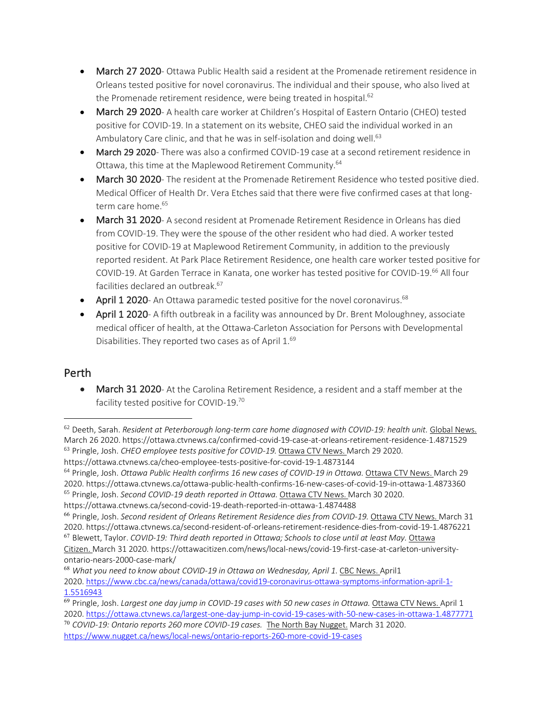- March 27 2020- Ottawa Public Health said a resident at the Promenade retirement residence in Orleans tested positive for novel coronavirus. The individual and their spouse, who also lived at the Promenade retirement residence, were being treated in hospital.<sup>62</sup>
- March 29 2020- A health care worker at Children's Hospital of Eastern Ontario (CHEO) tested positive for COVID-19. In a statement on its website, CHEO said the individual worked in an Ambulatory Care clinic, and that he was in self-isolation and doing well.<sup>63</sup>
- March 29 2020- There was also a confirmed COVID-19 case at a second retirement residence in Ottawa, this time at the Maplewood Retirement Community.64
- March 30 2020- The resident at the Promenade Retirement Residence who tested positive died. Medical Officer of Health Dr. Vera Etches said that there were five confirmed cases at that longterm care home.<sup>65</sup>
- March 31 2020- A second resident at Promenade Retirement Residence in Orleans has died from COVID-19. They were the spouse of the other resident who had died. A worker tested positive for COVID-19 at Maplewood Retirement Community, in addition to the previously reported resident. At Park Place Retirement Residence, one health care worker tested positive for COVID-19. At Garden Terrace in Kanata, one worker has tested positive for COVID-19.<sup>66</sup> All four facilities declared an outbreak.<sup>67</sup>
- April 1 2020- An Ottawa paramedic tested positive for the novel coronavirus.<sup>68</sup>
- April 1 2020- A fifth outbreak in a facility was announced by Dr. Brent Moloughney, associate medical officer of health, at the Ottawa-Carleton Association for Persons with Developmental Disabilities. They reported two cases as of April 1.<sup>69</sup>

### Perth

 $\overline{a}$ 

• March 31 2020- At the Carolina Retirement Residence, a resident and a staff member at the facility tested positive for COVID-19.70

<sup>62</sup> Deeth, Sarah. *Resident at Peterborough long-term care home diagnosed with COVID-19: health unit.* Global News. March 26 2020. https://ottawa.ctvnews.ca/confirmed-covid-19-case-at-orleans-retirement-residence-1.4871529 <sup>63</sup> Pringle, Josh. *CHEO employee tests positive for COVID-19.* Ottawa CTV News. March 29 2020.

https://ottawa.ctvnews.ca/cheo-employee-tests-positive-for-covid-19-1.4873144

<sup>64</sup> Pringle, Josh. *Ottawa Public Health confirms 16 new cases of COVID-19 in Ottawa.* Ottawa CTV News. March 29 2020. https://ottawa.ctvnews.ca/ottawa-public-health-confirms-16-new-cases-of-covid-19-in-ottawa-1.4873360

<sup>65</sup> Pringle, Josh. *Second COVID-19 death reported in Ottawa.* Ottawa CTV News. March 30 2020.

https://ottawa.ctvnews.ca/second-covid-19-death-reported-in-ottawa-1.4874488

<sup>66</sup> Pringle, Josh. *Second resident of Orleans Retirement Residence dies from COVID-19.* Ottawa CTV News. March 31 2020. https://ottawa.ctvnews.ca/second-resident-of-orleans-retirement-residence-dies-from-covid-19-1.4876221

<sup>67</sup> Blewett, Taylor. *COVID-19: Third death reported in Ottawa; Schools to close until at least May.* Ottawa

Citizen. March 31 2020. https://ottawacitizen.com/news/local-news/covid-19-first-case-at-carleton-universityontario-nears-2000-case-mark/

<sup>68</sup> *What you need to know about COVID-19 in Ottawa on Wednesday, April 1.* CBC News. April1 2020. https://www.cbc.ca/news/canada/ottawa/covid19-coronavirus-ottawa-symptoms-information-april-1- 1.5516943

<sup>69</sup> Pringle, Josh. *Largest one day jump in COVID-19 cases with 50 new cases in Ottawa.* Ottawa CTV News. April 1 2020. https://ottawa.ctvnews.ca/largest-one-day-jump-in-covid-19-cases-with-50-new-cases-in-ottawa-1.4877771

<sup>70</sup> *COVID-19: Ontario reports 260 more COVID-19 cases.* The North Bay Nugget. March 31 2020. https://www.nugget.ca/news/local-news/ontario-reports-260-more-covid-19-cases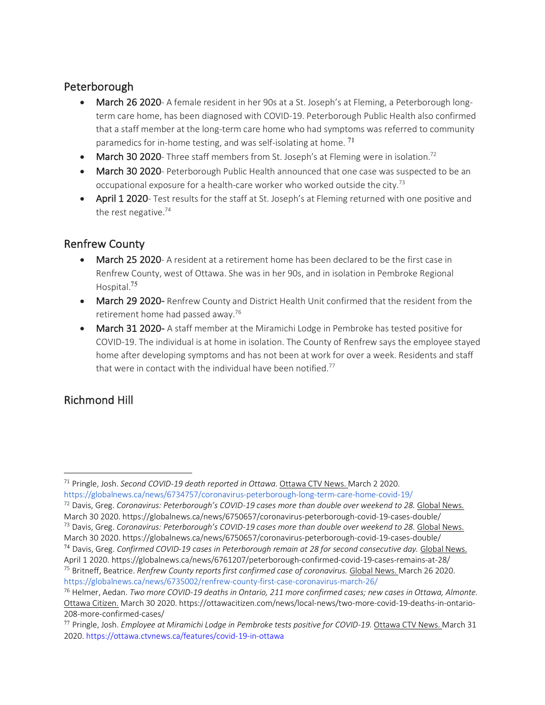### Peterborough

- March 26 2020- A female resident in her 90s at a St. Joseph's at Fleming, a Peterborough longterm care home, has been diagnosed with COVID-19. Peterborough Public Health also confirmed that a staff member at the long-term care home who had symptoms was referred to community paramedics for in-home testing, and was self-isolating at home. <sup>71</sup>
- March 30 2020- Three staff members from St. Joseph's at Fleming were in isolation.<sup>72</sup>
- March 30 2020- Peterborough Public Health announced that one case was suspected to be an occupational exposure for a health-care worker who worked outside the city.73
- April 1 2020- Test results for the staff at St. Joseph's at Fleming returned with one positive and the rest negative. $74$

### Renfrew County

- March 25 2020- A resident at a retirement home has been declared to be the first case in Renfrew County, west of Ottawa. She was in her 90s, and in isolation in Pembroke Regional Hospital.<sup>75</sup>
- March 29 2020- Renfrew County and District Health Unit confirmed that the resident from the retirement home had passed away.76
- March 31 2020- A staff member at the Miramichi Lodge in Pembroke has tested positive for COVID-19. The individual is at home in isolation. The County of Renfrew says the employee stayed home after developing symptoms and has not been at work for over a week. Residents and staff that were in contact with the individual have been notified.<sup>77</sup>

## Richmond Hill

<sup>72</sup> Davis, Greg. *Coronavirus: Peterborough's COVID-19 cases more than double over weekend to 28.* Global News. March 30 2020. https://globalnews.ca/news/6750657/coronavirus-peterborough-covid-19-cases-double/

 $\overline{a}$ <sup>71</sup> Pringle, Josh. *Second COVID-19 death reported in Ottawa.* Ottawa CTV News. March 2 2020. https://globalnews.ca/news/6734757/coronavirus-peterborough-long-term-care-home-covid-19/

<sup>73</sup> Davis, Greg. *Coronavirus: Peterborough's COVID-19 cases more than double over weekend to 28.* Global News. March 30 2020. https://globalnews.ca/news/6750657/coronavirus-peterborough-covid-19-cases-double/

<sup>74</sup> Davis, Greg. *Confirmed COVID-19 cases in Peterborough remain at 28 for second consecutive day.* Global News. April 1 2020. https://globalnews.ca/news/6761207/peterborough-confirmed-covid-19-cases-remains-at-28/ <sup>75</sup> Britneff, Beatrice. *Renfrew County reports first confirmed case of coronavirus.* Global News. March 26 2020. https://globalnews.ca/news/6735002/renfrew-county-first-case-coronavirus-march-26/

<sup>76</sup> Helmer, Aedan. *Two more COVID-19 deaths in Ontario, 211 more confirmed cases; new cases in Ottawa, Almonte.*  Ottawa Citizen. March 30 2020. https://ottawacitizen.com/news/local-news/two-more-covid-19-deaths-in-ontario-208-more-confirmed-cases/

<sup>77</sup> Pringle, Josh. *Employee at Miramichi Lodge in Pembroke tests positive for COVID-19.* Ottawa CTV News. March 31 2020. https://ottawa.ctvnews.ca/features/covid-19-in-ottawa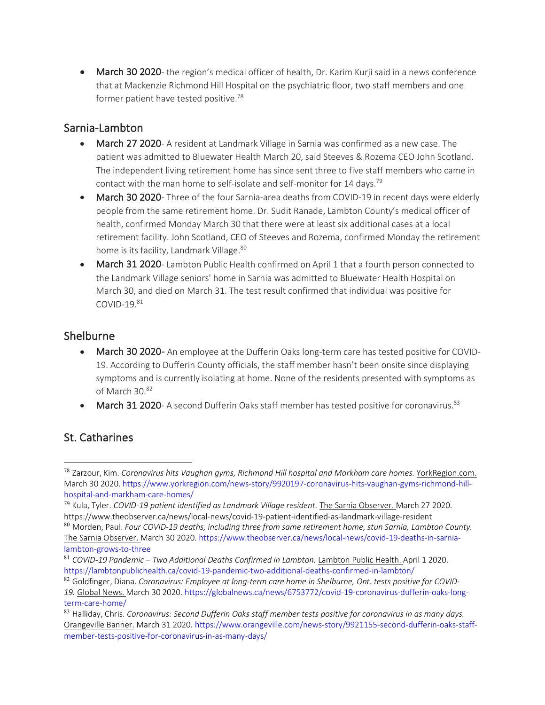• March 30 2020- the region's medical officer of health, Dr. Karim Kurji said in a news conference that at Mackenzie Richmond Hill Hospital on the psychiatric floor, two staff members and one former patient have tested positive.<sup>78</sup>

### Sarnia-Lambton

- March 27 2020- A resident at Landmark Village in Sarnia was confirmed as a new case. The patient was admitted to Bluewater Health March 20, said Steeves & Rozema CEO John Scotland. The independent living retirement home has since sent three to five staff members who came in contact with the man home to self-isolate and self-monitor for 14 days.<sup>79</sup>
- March 30 2020- Three of the four Sarnia-area deaths from COVID-19 in recent days were elderly people from the same retirement home. Dr. Sudit Ranade, Lambton County's medical officer of health, confirmed Monday March 30 that there were at least six additional cases at a local retirement facility. John Scotland, CEO of Steeves and Rozema, confirmed Monday the retirement home is its facility, Landmark Village.<sup>80</sup>
- March 31 2020- Lambton Public Health confirmed on April 1 that a fourth person connected to the Landmark Village seniors' home in Sarnia was admitted to Bluewater Health Hospital on March 30, and died on March 31. The test result confirmed that individual was positive for  $COMID-19<sup>81</sup>$

### Shelburne

- March 30 2020- An employee at the Dufferin Oaks long-term care has tested positive for COVID-19. According to Dufferin County officials, the staff member hasn't been onsite since displaying symptoms and is currently isolating at home. None of the residents presented with symptoms as of March 30.82
- **March 31 2020** A second Dufferin Oaks staff member has tested positive for coronavirus.<sup>83</sup>

### St. Catharines

 <sup>78</sup> Zarzour, Kim. *Coronavirus hits Vaughan gyms, Richmond Hill hospital and Markham care homes.* YorkRegion.com. March 30 2020. https://www.yorkregion.com/news-story/9920197-coronavirus-hits-vaughan-gyms-richmond-hillhospital-and-markham-care-homes/

<sup>79</sup> Kula, Tyler. *COVID-19 patient identified as Landmark Village resident.* The Sarnia Observer. March 27 2020. https://www.theobserver.ca/news/local-news/covid-19-patient-identified-as-landmark-village-resident

<sup>80</sup> Morden, Paul. *Four COVID-19 deaths, including three from same retirement home, stun Sarnia, Lambton County.* The Sarnia Observer. March 30 2020. https://www.theobserver.ca/news/local-news/covid-19-deaths-in-sarnialambton-grows-to-three

<sup>81</sup> *COVID-19 Pandemic – Two Additional Deaths Confirmed in Lambton.* Lambton Public Health. April 1 2020. https://lambtonpublichealth.ca/covid-19-pandemic-two-additional-deaths-confirmed-in-lambton/

<sup>82</sup> Goldfinger, Diana. *Coronavirus: Employee at long-term care home in Shelburne, Ont. tests positive for COVID-19.* Global News. March 30 2020. https://globalnews.ca/news/6753772/covid-19-coronavirus-dufferin-oaks-longterm-care-home/

<sup>83</sup> Halliday, Chris. *Coronavirus: Second Dufferin Oaks staff member tests positive for coronavirus in as many days.*  Orangeville Banner. March 31 2020. https://www.orangeville.com/news-story/9921155-second-dufferin-oaks-staffmember-tests-positive-for-coronavirus-in-as-many-days/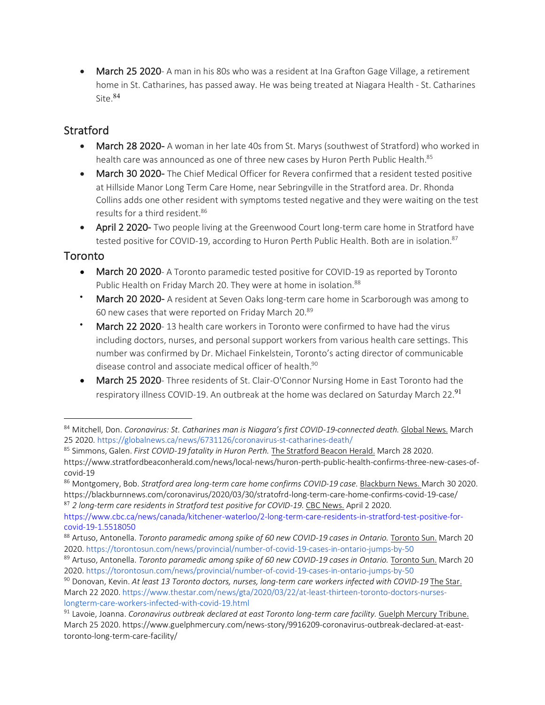• March 25 2020- A man in his 80s who was a resident at Ina Grafton Gage Village, a retirement home in St. Catharines, has passed away. He was being treated at Niagara Health - St. Catharines Site.<sup>84</sup>

## **Stratford**

- March 28 2020- A woman in her late 40s from St. Marys (southwest of Stratford) who worked in health care was announced as one of three new cases by Huron Perth Public Health.<sup>85</sup>
- March 30 2020- The Chief Medical Officer for Revera confirmed that a resident tested positive at Hillside Manor Long Term Care Home, near Sebringville in the Stratford area. Dr. Rhonda Collins adds one other resident with symptoms tested negative and they were waiting on the test results for a third resident.<sup>86</sup>
- April 2 2020- Two people living at the Greenwood Court long-term care home in Stratford have tested positive for COVID-19, according to Huron Perth Public Health. Both are in isolation.<sup>87</sup>

### **Toronto**

- March 20 2020- A Toronto paramedic tested positive for COVID-19 as reported by Toronto Public Health on Friday March 20. They were at home in isolation.<sup>88</sup>
- March 20 2020- A resident at Seven Oaks long-term care home in Scarborough was among to 60 new cases that were reported on Friday March 20.89
- March 22 2020-13 health care workers in Toronto were confirmed to have had the virus including doctors, nurses, and personal support workers from various health care settings. This number was confirmed by Dr. Michael Finkelstein, Toronto's acting director of communicable disease control and associate medical officer of health.<sup>90</sup>
- March 25 2020- Three residents of St. Clair-O'Connor Nursing Home in East Toronto had the respiratory illness COVID-19. An outbreak at the home was declared on Saturday March 22.<sup>91</sup>

<sup>84</sup> Mitchell, Don. *Coronavirus: St. Catharines man is Niagara's first COVID-19-connected death.* Global News. March 25 2020. https://globalnews.ca/news/6731126/coronavirus-st-catharines-death/ 85 Simmons, Galen. *First COVID-19 fatality in Huron Perth.* The Stratford Beacon Herald. March 28 2020.

https://www.stratfordbeaconherald.com/news/local-news/huron-perth-public-health-confirms-three-new-cases-ofcovid-19

<sup>86</sup> Montgomery, Bob. *Stratford area long-term care home confirms COVID-19 case.* Blackburn News. March 30 2020. https://blackburnnews.com/coronavirus/2020/03/30/stratofrd-long-term-care-home-confirms-covid-19-case/

<sup>87</sup> *2 long-term care residents in Stratford test positive for COVID-19.* CBC News. April 2 2020.

https://www.cbc.ca/news/canada/kitchener-waterloo/2-long-term-care-residents-in-stratford-test-positive-forcovid-19-1.5518050

<sup>88</sup> Artuso, Antonella. *Toronto paramedic among spike of 60 new COVID-19 cases in Ontario.* Toronto Sun. March 20 2020. https://torontosun.com/news/provincial/number-of-covid-19-cases-in-ontario-jumps-by-50

<sup>89</sup> Artuso, Antonella. *Toronto paramedic among spike of 60 new COVID-19 cases in Ontario.* Toronto Sun. March 20 2020. https://torontosun.com/news/provincial/number-of-covid-19-cases-in-ontario-jumps-by-50

<sup>90</sup> Donovan, Kevin. *At least 13 Toronto doctors, nurses, long-term care workers infected with COVID-19* The Star. March 22 2020. https://www.thestar.com/news/gta/2020/03/22/at-least-thirteen-toronto-doctors-nurseslongterm-care-workers-infected-with-covid-19.html

<sup>91</sup> Lavoie, Joanna. *Coronavirus outbreak declared at east Toronto long-term care facility.* Guelph Mercury Tribune. March 25 2020. https://www.guelphmercury.com/news-story/9916209-coronavirus-outbreak-declared-at-easttoronto-long-term-care-facility/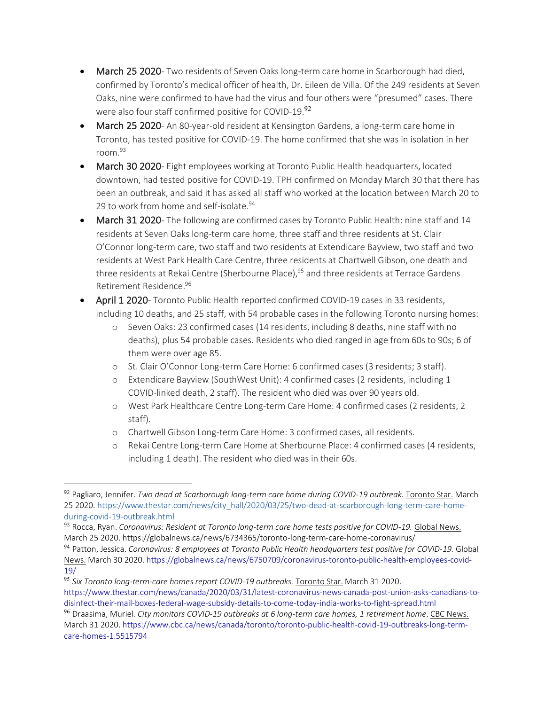- March 25 2020- Two residents of Seven Oaks long-term care home in Scarborough had died, confirmed by Toronto's medical officer of health, Dr. Eileen de Villa. Of the 249 residents at Seven Oaks, nine were confirmed to have had the virus and four others were "presumed" cases. There were also four staff confirmed positive for COVID-19.92
- March 25 2020- An 80-year-old resident at Kensington Gardens, a long-term care home in Toronto, has tested positive for COVID-19. The home confirmed that she was in isolation in her room.93
- March 30 2020- Eight employees working at Toronto Public Health headquarters, located downtown, had tested positive for COVID-19. TPH confirmed on Monday March 30 that there has been an outbreak, and said it has asked all staff who worked at the location between March 20 to 29 to work from home and self-isolate.<sup>94</sup>
- March 31 2020- The following are confirmed cases by Toronto Public Health: nine staff and 14 residents at Seven Oaks long-term care home, three staff and three residents at St. Clair O'Connor long-term care, two staff and two residents at Extendicare Bayview, two staff and two residents at West Park Health Care Centre, three residents at Chartwell Gibson, one death and three residents at Rekai Centre (Sherbourne Place),<sup>95</sup> and three residents at Terrace Gardens Retirement Residence.96
- April 1 2020- Toronto Public Health reported confirmed COVID-19 cases in 33 residents, including 10 deaths, and 25 staff, with 54 probable cases in the following Toronto nursing homes:
	- o Seven Oaks: 23 confirmed cases (14 residents, including 8 deaths, nine staff with no deaths), plus 54 probable cases. Residents who died ranged in age from 60s to 90s; 6 of them were over age 85.
	- o St. Clair O'Connor Long-term Care Home: 6 confirmed cases (3 residents; 3 staff).
	- o Extendicare Bayview (SouthWest Unit): 4 confirmed cases (2 residents, including 1 COVID-linked death, 2 staff). The resident who died was over 90 years old.
	- o West Park Healthcare Centre Long-term Care Home: 4 confirmed cases (2 residents, 2 staff).
	- o Chartwell Gibson Long-term Care Home: 3 confirmed cases, all residents.
	- o Rekai Centre Long-term Care Home at Sherbourne Place: 4 confirmed cases (4 residents, including 1 death). The resident who died was in their 60s.

<sup>92</sup> Pagliaro, Jennifer. *Two dead at Scarborough long-term care home during COVID-19 outbreak.* Toronto Star. March 25 2020. https://www.thestar.com/news/city\_hall/2020/03/25/two-dead-at-scarborough-long-term-care-homeduring-covid-19-outbreak.html

<sup>93</sup> Rocca, Ryan. *Coronavirus: Resident at Toronto long-term care home tests positive for COVID-19.* Global News. March 25 2020. https://globalnews.ca/news/6734365/toronto-long-term-care-home-coronavirus/

<sup>94</sup> Patton, Jessica. *Coronavirus: 8 employees at Toronto Public Health headquarters test positive for COVID-19.* Global News. March 30 2020. https://globalnews.ca/news/6750709/coronavirus-toronto-public-health-employees-covid-19/

<sup>95</sup> *Six Toronto long-term-care homes report COVID-19 outbreaks.* Toronto Star. March 31 2020. https://www.thestar.com/news/canada/2020/03/31/latest-coronavirus-news-canada-post-union-asks-canadians-todisinfect-their-mail-boxes-federal-wage-subsidy-details-to-come-today-india-works-to-fight-spread.html

<sup>96</sup> Draasima, Muriel*. City monitors COVID-19 outbreaks at 6 long-term care homes, 1 retirement home*. CBC News. March 31 2020. https://www.cbc.ca/news/canada/toronto/toronto-public-health-covid-19-outbreaks-long-termcare-homes-1.5515794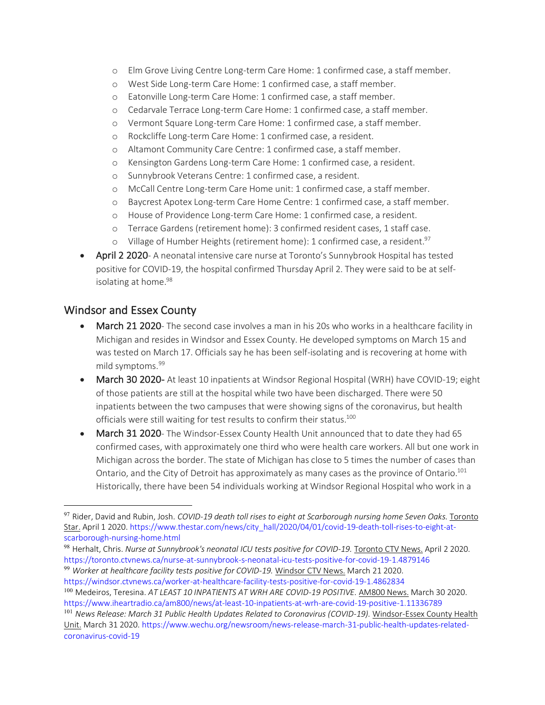- o Elm Grove Living Centre Long-term Care Home: 1 confirmed case, a staff member.
- o West Side Long-term Care Home: 1 confirmed case, a staff member.
- o Eatonville Long-term Care Home: 1 confirmed case, a staff member.
- o Cedarvale Terrace Long-term Care Home: 1 confirmed case, a staff member.
- o Vermont Square Long-term Care Home: 1 confirmed case, a staff member.
- o Rockcliffe Long-term Care Home: 1 confirmed case, a resident.
- o Altamont Community Care Centre: 1 confirmed case, a staff member.
- o Kensington Gardens Long-term Care Home: 1 confirmed case, a resident.
- o Sunnybrook Veterans Centre: 1 confirmed case, a resident.
- o McCall Centre Long-term Care Home unit: 1 confirmed case, a staff member.
- o Baycrest Apotex Long-term Care Home Centre: 1 confirmed case, a staff member.
- o House of Providence Long-term Care Home: 1 confirmed case, a resident.
- o Terrace Gardens (retirement home): 3 confirmed resident cases, 1 staff case.
- $\circ$  Village of Humber Heights (retirement home): 1 confirmed case, a resident.<sup>97</sup>
- April 2 2020- A neonatal intensive care nurse at Toronto's Sunnybrook Hospital has tested positive for COVID-19, the hospital confirmed Thursday April 2. They were said to be at selfisolating at home.<sup>98</sup>

### Windsor and Essex County

- March 21 2020- The second case involves a man in his 20s who works in a healthcare facility in Michigan and resides in Windsor and Essex County. He developed symptoms on March 15 and was tested on March 17. Officials say he has been self-isolating and is recovering at home with mild symptoms.<sup>99</sup>
- March 30 2020- At least 10 inpatients at Windsor Regional Hospital (WRH) have COVID-19; eight of those patients are still at the hospital while two have been discharged. There were 50 inpatients between the two campuses that were showing signs of the coronavirus, but health officials were still waiting for test results to confirm their status.<sup>100</sup>
- March 31 2020- The Windsor-Essex County Health Unit announced that to date they had 65 confirmed cases, with approximately one third who were health care workers. All but one work in Michigan across the border. The state of Michigan has close to 5 times the number of cases than Ontario, and the City of Detroit has approximately as many cases as the province of Ontario.<sup>101</sup> Historically, there have been 54 individuals working at Windsor Regional Hospital who work in a

 <sup>97</sup> Rider, David and Rubin, Josh. *COVID-19 death toll rises to eight at Scarborough nursing home Seven Oaks.* Toronto Star. April 1 2020. https://www.thestar.com/news/city\_hall/2020/04/01/covid-19-death-toll-rises-to-eight-atscarborough-nursing-home.html

<sup>98</sup> Herhalt, Chris. *Nurse at Sunnybrook's neonatal ICU tests positive for COVID-19.* Toronto CTV News. April 2 2020. https://toronto.ctvnews.ca/nurse-at-sunnybrook-s-neonatal-icu-tests-positive-for-covid-19-1.4879146 <sup>99</sup> Worker at healthcare facility tests positive for COVID-19. Windsor CTV News. March 21 2020.

https://windsor.ctvnews.ca/worker-at-healthcare-facility-tests-positive-for-covid-19-1.4862834 <sup>100</sup> Medeiros, Teresina. *AT LEAST 10 INPATIENTS AT WRH ARE COVID-19 POSITIVE.* AM800 News. March 30 2020. https://www.iheartradio.ca/am800/news/at-least-10-inpatients-at-wrh-are-covid-19-positive-1.11336789

<sup>101</sup> *News Release: March 31 Public Health Updates Related to Coronavirus (COVID-19).* Windsor-Essex County Health Unit. March 31 2020. https://www.wechu.org/newsroom/news-release-march-31-public-health-updates-relatedcoronavirus-covid-19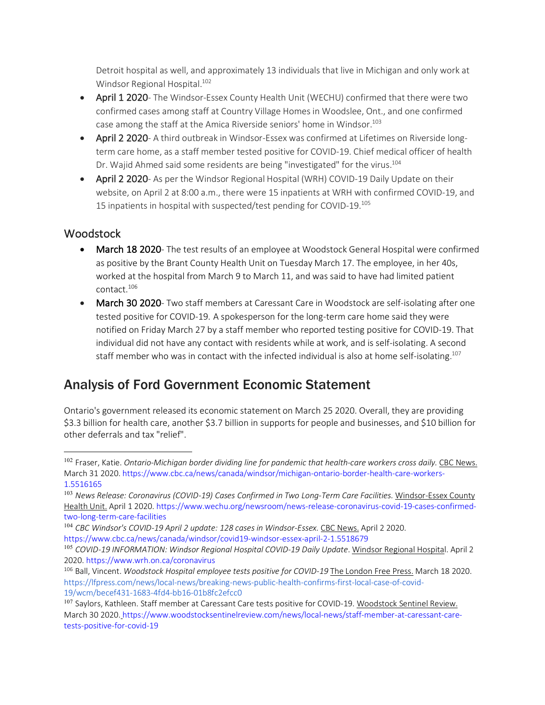Detroit hospital as well, and approximately 13 individuals that live in Michigan and only work at Windsor Regional Hospital.<sup>102</sup>

- April 1 2020- The Windsor-Essex County Health Unit (WECHU) confirmed that there were two confirmed cases among staff at Country Village Homes in Woodslee, Ont., and one confirmed case among the staff at the Amica Riverside seniors' home in Windsor.<sup>103</sup>
- April 2 2020- A third outbreak in Windsor-Essex was confirmed at Lifetimes on Riverside longterm care home, as a staff member tested positive for COVID-19. Chief medical officer of health Dr. Wajid Ahmed said some residents are being "investigated" for the virus.<sup>104</sup>
- April 2 2020- As per the Windsor Regional Hospital (WRH) COVID-19 Daily Update on their website, on April 2 at 8:00 a.m., there were 15 inpatients at WRH with confirmed COVID-19, and 15 inpatients in hospital with suspected/test pending for COVID-19.105

### **Woodstock**

- March 18 2020- The test results of an employee at Woodstock General Hospital were confirmed as positive by the Brant County Health Unit on Tuesday March 17. The employee, in her 40s, worked at the hospital from March 9 to March 11, and was said to have had limited patient contact.106
- March 30 2020- Two staff members at Caressant Care in Woodstock are self-isolating after one tested positive for COVID-19. A spokesperson for the long-term care home said they were notified on Friday March 27 by a staff member who reported testing positive for COVID-19. That individual did not have any contact with residents while at work, and is self-isolating. A second staff member who was in contact with the infected individual is also at home self-isolating.<sup>107</sup>

## Analysis of Ford Government Economic Statement

Ontario's government released its economic statement on March 25 2020. Overall, they are providing \$3.3 billion for health care, another \$3.7 billion in supports for people and businesses, and \$10 billion for other deferrals and tax "relief".

 <sup>102</sup> Fraser, Katie. *Ontario-Michigan border dividing line for pandemic that health-care workers cross daily.* CBC News. March 31 2020. https://www.cbc.ca/news/canada/windsor/michigan-ontario-border-health-care-workers-1.5516165

<sup>103</sup> *News Release: Coronavirus (COVID-19) Cases Confirmed in Two Long-Term Care Facilities.* Windsor-Essex County Health Unit. April 1 2020. https://www.wechu.org/newsroom/news-release-coronavirus-covid-19-cases-confirmedtwo-long-term-care-facilities

<sup>104</sup> *CBC Windsor's COVID-19 April 2 update: 128 cases in Windsor-Essex.* CBC News. April 2 2020. https://www.cbc.ca/news/canada/windsor/covid19-windsor-essex-april-2-1.5518679

<sup>&</sup>lt;sup>105</sup> COVID-19 INFORMATION: Windsor Regional Hospital COVID-19 Daily Update. Windsor Regional Hospital. April 2 2020. https://www.wrh.on.ca/coronavirus

<sup>106</sup> Ball, Vincent. *Woodstock Hospital employee tests positive for COVID-19* The London Free Press. March 18 2020. https://lfpress.com/news/local-news/breaking-news-public-health-confirms-first-local-case-of-covid-19/wcm/becef431-1683-4fd4-bb16-01b8fc2efcc0

<sup>107</sup> Savlors, Kathleen. Staff member at Caressant Care tests positive for COVID-19. Woodstock Sentinel Review. March 30 2020. https://www.woodstocksentinelreview.com/news/local-news/staff-member-at-caressant-caretests-positive-for-covid-19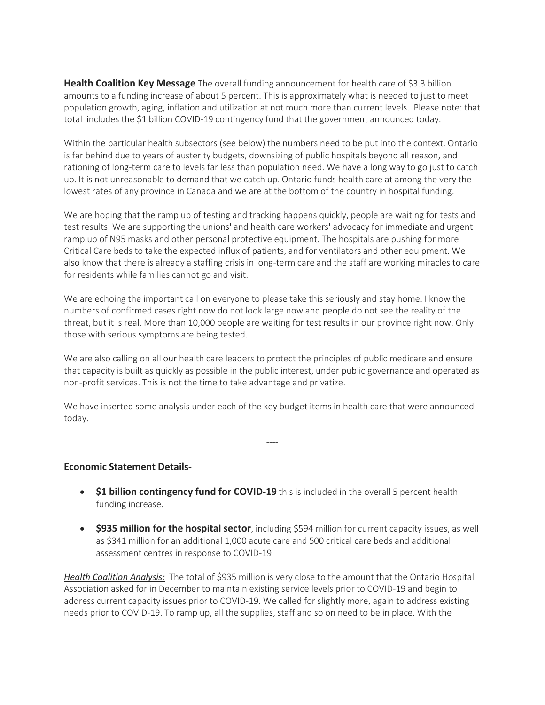**Health Coalition Key Message** The overall funding announcement for health care of \$3.3 billion amounts to a funding increase of about 5 percent. This is approximately what is needed to just to meet population growth, aging, inflation and utilization at not much more than current levels. Please note: that total includes the \$1 billion COVID-19 contingency fund that the government announced today.

Within the particular health subsectors (see below) the numbers need to be put into the context. Ontario is far behind due to years of austerity budgets, downsizing of public hospitals beyond all reason, and rationing of long-term care to levels far less than population need. We have a long way to go just to catch up. It is not unreasonable to demand that we catch up. Ontario funds health care at among the very the lowest rates of any province in Canada and we are at the bottom of the country in hospital funding.

We are hoping that the ramp up of testing and tracking happens quickly, people are waiting for tests and test results. We are supporting the unions' and health care workers' advocacy for immediate and urgent ramp up of N95 masks and other personal protective equipment. The hospitals are pushing for more Critical Care beds to take the expected influx of patients, and for ventilators and other equipment. We also know that there is already a staffing crisis in long-term care and the staff are working miracles to care for residents while families cannot go and visit.

We are echoing the important call on everyone to please take this seriously and stay home. I know the numbers of confirmed cases right now do not look large now and people do not see the reality of the threat, but it is real. More than 10,000 people are waiting for test results in our province right now. Only those with serious symptoms are being tested.

We are also calling on all our health care leaders to protect the principles of public medicare and ensure that capacity is built as quickly as possible in the public interest, under public governance and operated as non-profit services. This is not the time to take advantage and privatize.

We have inserted some analysis under each of the key budget items in health care that were announced today.

*----*

#### **Economic Statement Details-**

- **\$1 billion contingency fund for COVID-19** this is included in the overall 5 percent health funding increase.
- **\$935 million for the hospital sector**, including \$594 million for current capacity issues, as well as \$341 million for an additional 1,000 acute care and 500 critical care beds and additional assessment centres in response to COVID-19

*Health Coalition Analysis:* The total of \$935 million is very close to the amount that the Ontario Hospital Association asked for in December to maintain existing service levels prior to COVID-19 and begin to address current capacity issues prior to COVID-19. We called for slightly more, again to address existing needs prior to COVID-19. To ramp up, all the supplies, staff and so on need to be in place. With the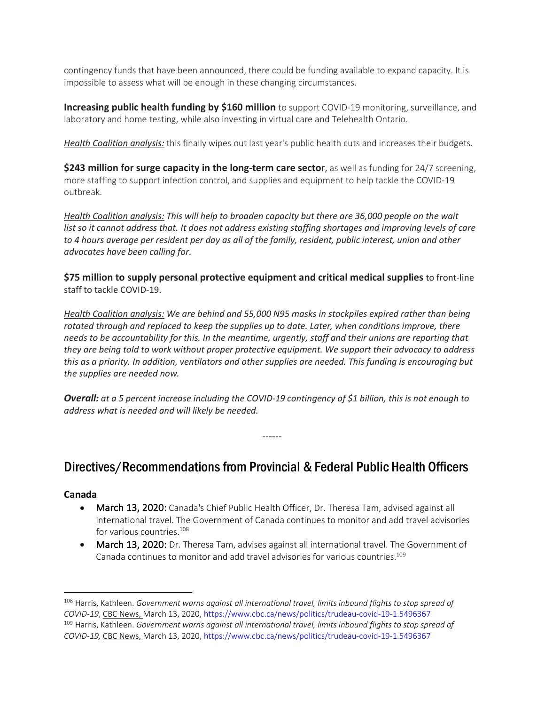contingency funds that have been announced, there could be funding available to expand capacity. It is impossible to assess what will be enough in these changing circumstances.

**Increasing public health funding by \$160 million** to support COVID-19 monitoring, surveillance, and laboratory and home testing, while also investing in virtual care and Telehealth Ontario.

*Health Coalition analysis:* this finally wipes out last year's public health cuts and increases their budgets*.*

**\$243 million for surge capacity in the long-term care secto**r, as well as funding for 24/7 screening, more staffing to support infection control, and supplies and equipment to help tackle the COVID-19 outbreak.

*Health Coalition analysis: This will help to broaden capacity but there are 36,000 people on the wait list so it cannot address that. It does not address existing staffing shortages and improving levels of care to 4 hours average per resident per day as all of the family, resident, public interest, union and other advocates have been calling for.*

**\$75 million to supply personal protective equipment and critical medical supplies** to front-line staff to tackle COVID-19.

*Health Coalition analysis: We are behind and 55,000 N95 masks in stockpiles expired rather than being rotated through and replaced to keep the supplies up to date. Later, when conditions improve, there needs to be accountability for this. In the meantime, urgently, staff and their unions are reporting that they are being told to work without proper protective equipment. We support their advocacy to address this as a priority. In addition, ventilators and other supplies are needed. This funding is encouraging but the supplies are needed now.*

*Overall: at a 5 percent increase including the COVID-19 contingency of \$1 billion, this is not enough to address what is needed and will likely be needed.*

------

## Directives/Recommendations from Provincial & Federal Public Health Officers

#### **Canada**

- March 13, 2020: Canada's Chief Public Health Officer, Dr. Theresa Tam, advised against all international travel. The Government of Canada continues to monitor and add travel advisories for various countries.<sup>108</sup>
- March 13, 2020: Dr. Theresa Tam, advises against all international travel. The Government of Canada continues to monitor and add travel advisories for various countries.109

<sup>108</sup> Harris, Kathleen. *Government warns against all international travel, limits inbound flights to stop spread of COVID-19*, CBC News, March 13, 2020, https://www.cbc.ca/news/politics/trudeau-covid-19-1.5496367 <sup>109</sup> Harris, Kathleen. *Government warns against all international travel, limits inbound flights to stop spread of COVID-19,* CBC News, March 13, 2020, https://www.cbc.ca/news/politics/trudeau-covid-19-1.5496367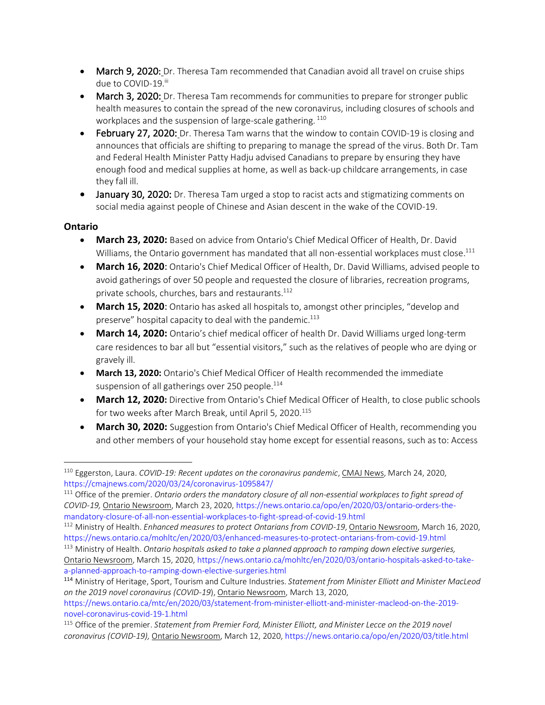- March 9, 2020: Dr. Theresa Tam recommended that Canadian avoid all travel on cruise ships due to COVID-19.iii
- March 3, 2020: Dr. Theresa Tam recommends for communities to prepare for stronger public health measures to contain the spread of the new coronavirus, including closures of schools and workplaces and the suspension of large-scale gathering.  $110$
- February 27, 2020: Dr. Theresa Tam warns that the window to contain COVID-19 is closing and announces that officials are shifting to preparing to manage the spread of the virus. Both Dr. Tam and Federal Health Minister Patty Hadju advised Canadians to prepare by ensuring they have enough food and medical supplies at home, as well as back-up childcare arrangements, in case they fall ill.
- January 30, 2020: Dr. Theresa Tam urged a stop to racist acts and stigmatizing comments on social media against people of Chinese and Asian descent in the wake of the COVID-19.

#### **Ontario**

- **March 23, 2020:** Based on advice from Ontario's Chief Medical Officer of Health, Dr. David Williams, the Ontario government has mandated that all non-essential workplaces must close.<sup>111</sup>
- **March 16, 2020**: Ontario's Chief Medical Officer of Health, Dr. David Williams, advised people to avoid gatherings of over 50 people and requested the closure of libraries, recreation programs, private schools, churches, bars and restaurants.<sup>112</sup>
- **March 15, 2020**: Ontario has asked all hospitals to, amongst other principles, "develop and preserve" hospital capacity to deal with the pandemic.<sup>113</sup>
- **March 14, 2020:** Ontario's chief medical officer of health Dr. David Williams urged long-term care residences to bar all but "essential visitors," such as the relatives of people who are dying or gravely ill.
- **March 13, 2020:** Ontario's Chief Medical Officer of Health recommended the immediate suspension of all gatherings over 250 people.<sup>114</sup>
- **March 12, 2020:** Directive from Ontario's Chief Medical Officer of Health, to close public schools for two weeks after March Break, until April 5, 2020.<sup>115</sup>
- **March 30, 2020:** Suggestion from Ontario's Chief Medical Officer of Health, recommending you and other members of your household stay home except for essential reasons, such as to: Access

<sup>110</sup> Eggerston, Laura. *COVID-19: Recent updates on the coronavirus pandemic*, CMAJ News, March 24, 2020, https://cmajnews.com/2020/03/24/coronavirus-1095847/

<sup>111</sup> Office of the premier. *Ontario orders the mandatory closure of all non-essential workplaces to fight spread of COVID-19,* Ontario Newsroom, March 23, 2020, https://news.ontario.ca/opo/en/2020/03/ontario-orders-themandatory-closure-of-all-non-essential-workplaces-to-fight-spread-of-covid-19.html

<sup>112</sup> Ministry of Health. *Enhanced measures to protect Ontarians from COVID-19*, Ontario Newsroom, March 16, 2020, https://news.ontario.ca/mohltc/en/2020/03/enhanced-measures-to-protect-ontarians-from-covid-19.html

<sup>113</sup> Ministry of Health. *Ontario hospitals asked to take a planned approach to ramping down elective surgeries,* Ontario Newsroom, March 15, 2020, https://news.ontario.ca/mohltc/en/2020/03/ontario-hospitals-asked-to-takea-planned-approach-to-ramping-down-elective-surgeries.html

<sup>114</sup> Ministry of Heritage, Sport, Tourism and Culture Industries. *Statement from Minister Elliott and Minister MacLeod on the 2019 novel coronavirus (COVID-19*), Ontario Newsroom, March 13, 2020,

https://news.ontario.ca/mtc/en/2020/03/statement-from-minister-elliott-and-minister-macleod-on-the-2019 novel-coronavirus-covid-19-1.html

<sup>115</sup> Office of the premier. *Statement from Premier Ford, Minister Elliott, and Minister Lecce on the 2019 novel coronavirus (COVID-19),* Ontario Newsroom, March 12, 2020, https://news.ontario.ca/opo/en/2020/03/title.html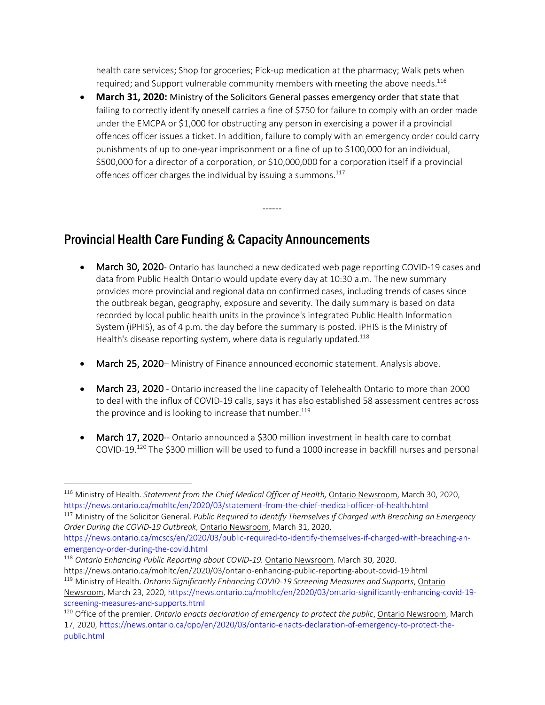health care services; Shop for groceries; Pick-up medication at the pharmacy; Walk pets when required; and Support vulnerable community members with meeting the above needs.<sup>116</sup>

• **March 31, 2020:** Ministry of the Solicitors General passes emergency order that state that failing to correctly identify oneself carries a fine of \$750 for failure to comply with an order made under the EMCPA or \$1,000 for obstructing any person in exercising a power if a provincial offences officer issues a ticket. In addition, failure to comply with an emergency order could carry punishments of up to one-year imprisonment or a fine of up to \$100,000 for an individual, \$500,000 for a director of a corporation, or \$10,000,000 for a corporation itself if a provincial offences officer charges the individual by issuing a summons. $117$ 

------

## Provincial Health Care Funding & Capacity Announcements

- March 30, 2020- Ontario has launched a new dedicated web page reporting COVID-19 cases and data from Public Health Ontario would update every day at 10:30 a.m. The new summary provides more provincial and regional data on confirmed cases, including trends of cases since the outbreak began, geography, exposure and severity. The daily summary is based on data recorded by local public health units in the province's integrated Public Health Information System (iPHIS), as of 4 p.m. the day before the summary is posted. iPHIS is the Ministry of Health's disease reporting system, where data is regularly updated.<sup>118</sup>
- March 25, 2020– Ministry of Finance announced economic statement. Analysis above.
- March 23, 2020 Ontario increased the line capacity of Telehealth Ontario to more than 2000 to deal with the influx of COVID-19 calls, says it has also established 58 assessment centres across the province and is looking to increase that number.<sup>119</sup>
- March 17, 2020-- Ontario announced a \$300 million investment in health care to combat COVID-19.120 The \$300 million will be used to fund a 1000 increase in backfill nurses and personal

<sup>&</sup>lt;sup>116</sup> Ministry of Health. *Statement from the Chief Medical Officer of Health*, **Ontario Newsroom**, March 30, 2020, https://news.ontario.ca/mohltc/en/2020/03/statement-from-the-chief-medical-officer-of-health.html

<sup>117</sup> Ministry of the Solicitor General. *Public Required to Identify Themselves if Charged with Breaching an Emergency Order During the COVID-19 Outbreak,* Ontario Newsroom, March 31, 2020,

https://news.ontario.ca/mcscs/en/2020/03/public-required-to-identify-themselves-if-charged-with-breaching-anemergency-order-during-the-covid.html

<sup>118</sup> *Ontario Enhancing Public Reporting about COVID-19.* Ontario Newsroom. March 30, 2020.

https://news.ontario.ca/mohltc/en/2020/03/ontario-enhancing-public-reporting-about-covid-19.html

<sup>119</sup> Ministry of Health. *Ontario Significantly Enhancing COVID-19 Screening Measures and Supports*, Ontario

Newsroom, March 23, 2020, https://news.ontario.ca/mohltc/en/2020/03/ontario-significantly-enhancing-covid-19 screening-measures-and-supports.html

<sup>120</sup> Office of the premier. *Ontario enacts declaration of emergency to protect the public*, Ontario Newsroom, March 17, 2020, https://news.ontario.ca/opo/en/2020/03/ontario-enacts-declaration-of-emergency-to-protect-thepublic.html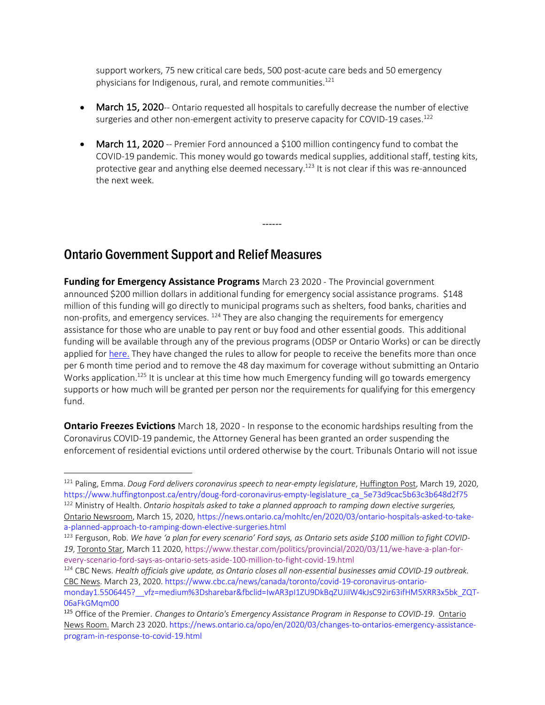support workers, 75 new critical care beds, 500 post-acute care beds and 50 emergency physicians for Indigenous, rural, and remote communities. $121$ 

- March 15, 2020-- Ontario requested all hospitals to carefully decrease the number of elective surgeries and other non-emergent activity to preserve capacity for COVID-19 cases.<sup>122</sup>
- **March 11, 2020** -- Premier Ford announced a \$100 million contingency fund to combat the COVID-19 pandemic. This money would go towards medical supplies, additional staff, testing kits, protective gear and anything else deemed necessary.<sup>123</sup> It is not clear if this was re-announced the next week.

------

## Ontario Government Support and Relief Measures

 $\overline{a}$ 

**Funding for Emergency Assistance Programs** March 23 2020 - The Provincial government announced \$200 million dollars in additional funding for emergency social assistance programs. \$148 million of this funding will go directly to municipal programs such as shelters, food banks, charities and non-profits, and emergency services. <sup>124</sup> They are also changing the requirements for emergency assistance for those who are unable to pay rent or buy food and other essential goods. This additional funding will be available through any of the previous programs (ODSP or Ontario Works) or can be directly applied for here. They have changed the rules to allow for people to receive the benefits more than once per 6 month time period and to remove the 48 day maximum for coverage without submitting an Ontario Works application.<sup>125</sup> It is unclear at this time how much Emergency funding will go towards emergency supports or how much will be granted per person nor the requirements for qualifying for this emergency fund.

**Ontario Freezes Evictions** March 18, 2020 - In response to the economic hardships resulting from the Coronavirus COVID-19 pandemic, the Attorney General has been granted an order suspending the enforcement of residential evictions until ordered otherwise by the court. Tribunals Ontario will not issue

<sup>&</sup>lt;sup>121</sup> Paling, Emma. *Doug Ford delivers coronavirus speech to near-empty legislature*, Huffington Post, March 19, 2020, https://www.huffingtonpost.ca/entry/doug-ford-coronavirus-empty-legislature\_ca\_5e73d9cac5b63c3b648d2f75

<sup>122</sup> Ministry of Health. *Ontario hospitals asked to take a planned approach to ramping down elective surgeries,*  Ontario Newsroom, March 15, 2020, https://news.ontario.ca/mohltc/en/2020/03/ontario-hospitals-asked-to-takea-planned-approach-to-ramping-down-elective-surgeries.html

<sup>123</sup> Ferguson, Rob. *We have 'a plan for every scenario' Ford says, as Ontario sets aside \$100 million to fight COVID-19*, Toronto Star, March 11 2020, https://www.thestar.com/politics/provincial/2020/03/11/we-have-a-plan-forevery-scenario-ford-says-as-ontario-sets-aside-100-million-to-fight-covid-19.html

<sup>124</sup> CBC News. *Health officials give update, as Ontario closes all non-essential businesses amid COVID-19 outbreak.* CBC News. March 23, 2020. https://www.cbc.ca/news/canada/toronto/covid-19-coronavirus-ontariomonday1.5506445?\_\_vfz=medium%3Dsharebar&fbclid=IwAR3pI1ZU9DkBqZUJiIW4kJsC92ir63ifHM5XRR3x5bk\_ZQT-06aFkGMqm00

<sup>125</sup> Office of the Premier. *Changes to Ontario's Emergency Assistance Program in Response to COVID-19*. Ontario News Room. March 23 2020. https://news.ontario.ca/opo/en/2020/03/changes-to-ontarios-emergency-assistanceprogram-in-response-to-covid-19.html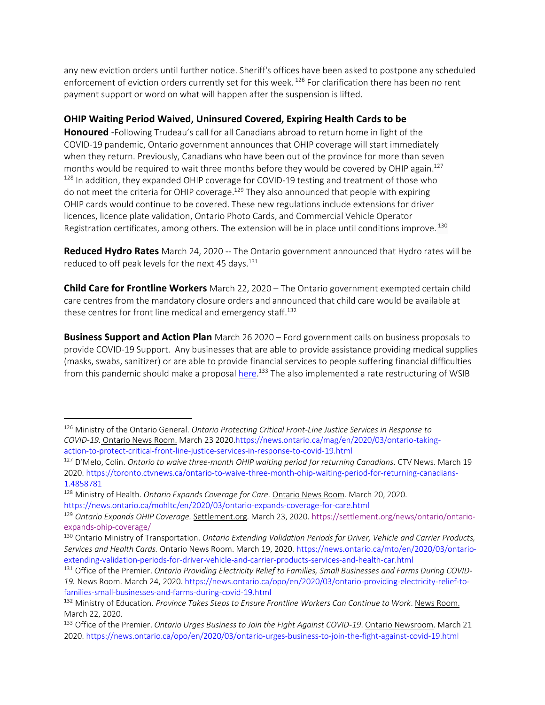any new eviction orders until further notice. Sheriff's offices have been asked to postpone any scheduled enforcement of eviction orders currently set for this week. <sup>126</sup> For clarification there has been no rent payment support or word on what will happen after the suspension is lifted.

#### **OHIP Waiting Period Waived, Uninsured Covered, Expiring Health Cards to be**

**Honoured** -Following Trudeau's call for all Canadians abroad to return home in light of the COVID-19 pandemic, Ontario government announces that OHIP coverage will start immediately when they return. Previously, Canadians who have been out of the province for more than seven months would be required to wait three months before they would be covered by OHIP again.<sup>127</sup>  $128$  In addition, they expanded OHIP coverage for COVID-19 testing and treatment of those who do not meet the criteria for OHIP coverage.<sup>129</sup> They also announced that people with expiring OHIP cards would continue to be covered. These new regulations include extensions for driver licences, licence plate validation, Ontario Photo Cards, and Commercial Vehicle Operator Registration certificates, among others. The extension will be in place until conditions improve.<sup>130</sup>

**Reduced Hydro Rates** March 24, 2020 -- The Ontario government announced that Hydro rates will be reduced to off peak levels for the next 45 days.<sup>131</sup>

**Child Care for Frontline Workers** March 22, 2020 – The Ontario government exempted certain child care centres from the mandatory closure orders and announced that child care would be available at these centres for front line medical and emergency staff.<sup>132</sup>

**Business Support and Action Plan** March 26 2020 – Ford government calls on business proposals to provide COVID-19 Support. Any businesses that are able to provide assistance providing medical supplies (masks, swabs, sanitizer) or are able to provide financial services to people suffering financial difficulties from this pandemic should make a proposal *here*.<sup>133</sup> The also implemented a rate restructuring of WSIB

<sup>126</sup> Ministry of the Ontario General. *Ontario Protecting Critical Front-Line Justice Services in Response to COVID-19.* Ontario News Room. March 23 2020.https://news.ontario.ca/mag/en/2020/03/ontario-takingaction-to-protect-critical-front-line-justice-services-in-response-to-covid-19.html

<sup>127</sup> D'Melo, Colin. *Ontario to waive three-month OHIP waiting period for returning Canadians*. CTV News. March 19 2020. https://toronto.ctvnews.ca/ontario-to-waive-three-month-ohip-waiting-period-for-returning-canadians-1.4858781

<sup>128</sup> Ministry of Health. *Ontario Expands Coverage for Care.* Ontario News Room*.* March 20, 2020. https://news.ontario.ca/mohltc/en/2020/03/ontario-expands-coverage-for-care.html

<sup>129</sup> *Ontario Expands OHIP Coverage.* Settlement.org*.* March 23, 2020. https://settlement.org/news/ontario/ontarioexpands-ohip-coverage/

<sup>130</sup> Ontario Ministry of Transportation. *Ontario Extending Validation Periods for Driver, Vehicle and Carrier Products, Services and Health Cards.* Ontario News Room. March 19, 2020. https://news.ontario.ca/mto/en/2020/03/ontarioextending-validation-periods-for-driver-vehicle-and-carrier-products-services-and-health-car.html

<sup>131</sup> Office of the Premier. *Ontario Providing Electricity Relief to Families, Small Businesses and Farms During COVID-19.* News Room. March 24, 2020. https://news.ontario.ca/opo/en/2020/03/ontario-providing-electricity-relief-tofamilies-small-businesses-and-farms-during-covid-19.html

<sup>132</sup> Ministry of Education. *Province Takes Steps to Ensure Frontline Workers Can Continue to Work*. News Room. March 22, 2020.

<sup>133</sup> Office of the Premier. *Ontario Urges Business to Join the Fight Against COVID-19*. Ontario Newsroom. March 21 2020. https://news.ontario.ca/opo/en/2020/03/ontario-urges-business-to-join-the-fight-against-covid-19.html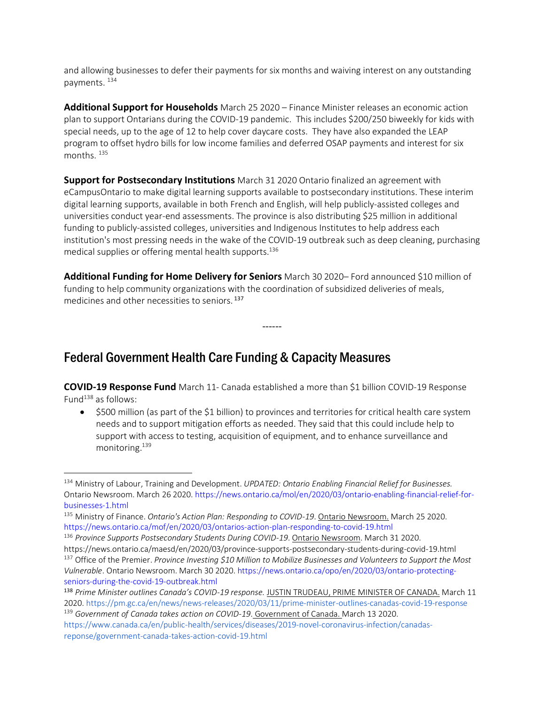and allowing businesses to defer their payments for six months and waiving interest on any outstanding payments. 134

**Additional Support for Households** March 25 2020 – Finance Minister releases an economic action plan to support Ontarians during the COVID-19 pandemic. This includes \$200/250 biweekly for kids with special needs, up to the age of 12 to help cover daycare costs. They have also expanded the LEAP program to offset hydro bills for low income families and deferred OSAP payments and interest for six months.<sup>135</sup>

**Support for Postsecondary Institutions** March 31 2020 Ontario finalized an agreement with eCampusOntario to make digital learning supports available to postsecondary institutions. These interim digital learning supports, available in both French and English, will help publicly-assisted colleges and universities conduct year-end assessments. The province is also distributing \$25 million in additional funding to publicly-assisted colleges, universities and Indigenous Institutes to help address each institution's most pressing needs in the wake of the COVID-19 outbreak such as deep cleaning, purchasing medical supplies or offering mental health supports.<sup>136</sup>

**Additional Funding for Home Delivery for Seniors** March 30 2020– Ford announced \$10 million of funding to help community organizations with the coordination of subsidized deliveries of meals, medicines and other necessities to seniors. <sup>137</sup>

------

## Federal Government Health Care Funding & Capacity Measures

 $\overline{a}$ 

**COVID-19 Response Fund** March 11- Canada established a more than \$1 billion COVID-19 Response Fund $^{138}$  as follows:

• \$500 million (as part of the \$1 billion) to provinces and territories for critical health care system needs and to support mitigation efforts as needed. They said that this could include help to support with access to testing, acquisition of equipment, and to enhance surveillance and monitoring.139

<sup>135</sup> Ministry of Finance. *Ontario's Action Plan: Responding to COVID-19*. Ontario Newsroom. March 25 2020. https://news.ontario.ca/mof/en/2020/03/ontarios-action-plan-responding-to-covid-19.html

<sup>134</sup> Ministry of Labour, Training and Development. *UPDATED: Ontario Enabling Financial Relief for Businesses.*  Ontario Newsroom. March 26 2020. https://news.ontario.ca/mol/en/2020/03/ontario-enabling-financial-relief-forbusinesses-1.html

<sup>136</sup> *Province Supports Postsecondary Students During COVID-19*. Ontario Newsroom. March 31 2020. https://news.ontario.ca/maesd/en/2020/03/province-supports-postsecondary-students-during-covid-19.html

<sup>137</sup> Office of the Premier. *Province Investing \$10 Million to Mobilize Businesses and Volunteers to Support the Most Vulnerable*. Ontario Newsroom. March 30 2020. https://news.ontario.ca/opo/en/2020/03/ontario-protectingseniors-during-the-covid-19-outbreak.html

<sup>138</sup> *Prime Minister outlines Canada's COVID-19 response.* JUSTIN TRUDEAU, PRIME MINISTER OF CANADA. March 11 2020. https://pm.gc.ca/en/news/news-releases/2020/03/11/prime-minister-outlines-canadas-covid-19-response <sup>139</sup> *Government of Canada takes action on COVID-19*. Government of Canada. March 13 2020.

https://www.canada.ca/en/public-health/services/diseases/2019-novel-coronavirus-infection/canadasreponse/government-canada-takes-action-covid-19.html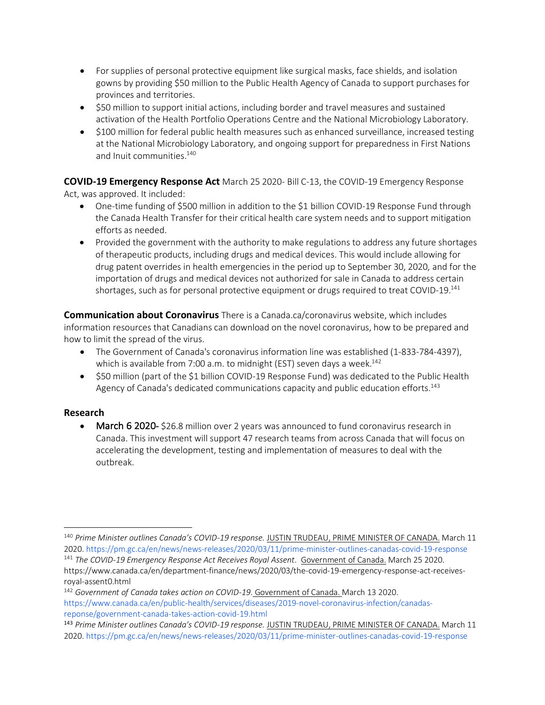- For supplies of personal protective equipment like surgical masks, face shields, and isolation gowns by providing \$50 million to the Public Health Agency of Canada to support purchases for provinces and territories.
- \$50 million to support initial actions, including border and travel measures and sustained activation of the Health Portfolio Operations Centre and the National Microbiology Laboratory.
- \$100 million for federal public health measures such as enhanced surveillance, increased testing at the National Microbiology Laboratory, and ongoing support for preparedness in First Nations and Inuit communities. 140

**COVID-19 Emergency Response Act** March 25 2020- Bill C-13, the COVID-19 Emergency Response Act, was approved. It included:

- One-time funding of \$500 million in addition to the \$1 billion COVID-19 Response Fund through the Canada Health Transfer for their critical health care system needs and to support mitigation efforts as needed.
- Provided the government with the authority to make regulations to address any future shortages of therapeutic products, including drugs and medical devices. This would include allowing for drug patent overrides in health emergencies in the period up to September 30, 2020, and for the importation of drugs and medical devices not authorized for sale in Canada to address certain shortages, such as for personal protective equipment or drugs required to treat COVID-19.<sup>141</sup>

**Communication about Coronavirus** There is a Canada.ca/coronavirus website, which includes information resources that Canadians can download on the novel coronavirus, how to be prepared and how to limit the spread of the virus.

- The Government of Canada's coronavirus information line was established (1-833-784-4397), which is available from 7:00 a.m. to midnight (EST) seven days a week.<sup>142</sup>
- \$50 million (part of the \$1 billion COVID-19 Response Fund) was dedicated to the Public Health Agency of Canada's dedicated communications capacity and public education efforts.<sup>143</sup>

#### **Research**

 $\overline{a}$ 

• March 6 2020- \$26.8 million over 2 years was announced to fund coronavirus research in Canada. This investment will support 47 research teams from across Canada that will focus on accelerating the development, testing and implementation of measures to deal with the outbreak.

<sup>140</sup> *Prime Minister outlines Canada's COVID-19 response.* JUSTIN TRUDEAU, PRIME MINISTER OF CANADA. March 11 2020. https://pm.gc.ca/en/news/news-releases/2020/03/11/prime-minister-outlines-canadas-covid-19-response <sup>141</sup> *The COVID-19 Emergency Response Act Receives Royal Assent*. Government of Canada. March 25 2020. https://www.canada.ca/en/department-finance/news/2020/03/the-covid-19-emergency-response-act-receivesroyal-assent0.html

<sup>142</sup> *Government of Canada takes action on COVID-19*. Government of Canada. March 13 2020. https://www.canada.ca/en/public-health/services/diseases/2019-novel-coronavirus-infection/canadasreponse/government-canada-takes-action-covid-19.html

<sup>143</sup> *Prime Minister outlines Canada's COVID-19 response.* JUSTIN TRUDEAU, PRIME MINISTER OF CANADA. March 11 2020. https://pm.gc.ca/en/news/news-releases/2020/03/11/prime-minister-outlines-canadas-covid-19-response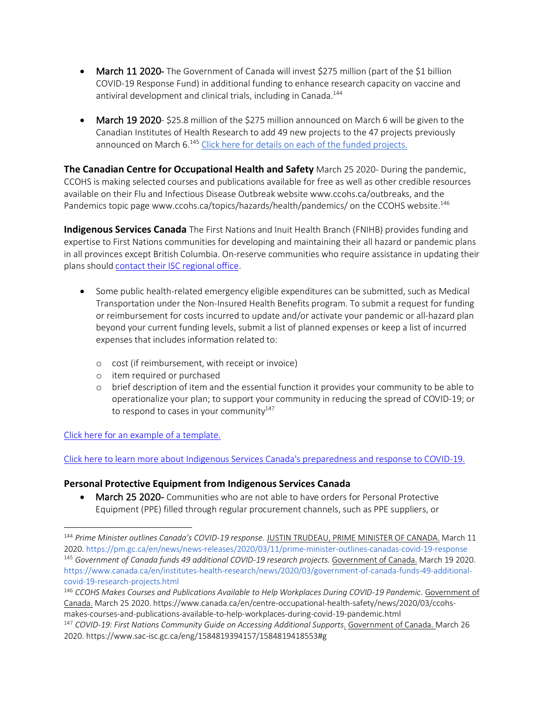- March 11 2020- The Government of Canada will invest \$275 million (part of the \$1 billion COVID-19 Response Fund) in additional funding to enhance research capacity on vaccine and antiviral development and clinical trials, including in Canada.<sup>144</sup>
- March 19 2020- \$25.8 million of the \$275 million announced on March 6 will be given to the Canadian Institutes of Health Research to add 49 new projects to the 47 projects previously announced on March 6.<sup>145</sup> Click here for details on each of the funded projects.

**The Canadian Centre for Occupational Health and Safety** March 25 2020- During the pandemic, CCOHS is making selected courses and publications available for free as well as other credible resources available on their Flu and Infectious Disease Outbreak website www.ccohs.ca/outbreaks, and the Pandemics topic page www.ccohs.ca/topics/hazards/health/pandemics/ on the CCOHS website.<sup>146</sup>

**Indigenous Services Canada** The First Nations and Inuit Health Branch (FNIHB) provides funding and expertise to First Nations communities for developing and maintaining their all hazard or pandemic plans in all provinces except British Columbia. On-reserve communities who require assistance in updating their plans should contact their ISC regional office.

- Some public health-related emergency eligible expenditures can be submitted, such as Medical Transportation under the Non-Insured Health Benefits program. To submit a request for funding or reimbursement for costs incurred to update and/or activate your pandemic or all-hazard plan beyond your current funding levels, submit a list of planned expenses or keep a list of incurred expenses that includes information related to:
	- o cost (if reimbursement, with receipt or invoice)
	- o item required or purchased
	- o brief description of item and the essential function it provides your community to be able to operationalize your plan; to support your community in reducing the spread of COVID-19; or to respond to cases in your community $147$

Click here for an example of a template.

 $\overline{a}$ 

Click here to learn more about Indigenous Services Canada's preparedness and response to COVID-19.

#### **Personal Protective Equipment from Indigenous Services Canada**

• March 25 2020- Communities who are not able to have orders for Personal Protective Equipment (PPE) filled through regular procurement channels, such as PPE suppliers, or

<sup>144</sup> *Prime Minister outlines Canada's COVID-19 response.* JUSTIN TRUDEAU, PRIME MINISTER OF CANADA. March 11 2020. https://pm.gc.ca/en/news/news-releases/2020/03/11/prime-minister-outlines-canadas-covid-19-response <sup>145</sup> *Government of Canada funds 49 additional COVID-19 research projects.* Government of Canada. March 19 2020. https://www.canada.ca/en/institutes-health-research/news/2020/03/government-of-canada-funds-49-additionalcovid-19-research-projects.html

<sup>146</sup> *CCOHS Makes Courses and Publications Available to Help Workplaces During COVID-19 Pandemic*. Government of Canada. March 25 2020. https://www.canada.ca/en/centre-occupational-health-safety/news/2020/03/ccohsmakes-courses-and-publications-available-to-help-workplaces-during-covid-19-pandemic.html

<sup>147</sup> *COVID-19: First Nations Community Guide on Accessing Additional Supports.* Government of Canada. March 26 2020. https://www.sac-isc.gc.ca/eng/1584819394157/1584819418553#g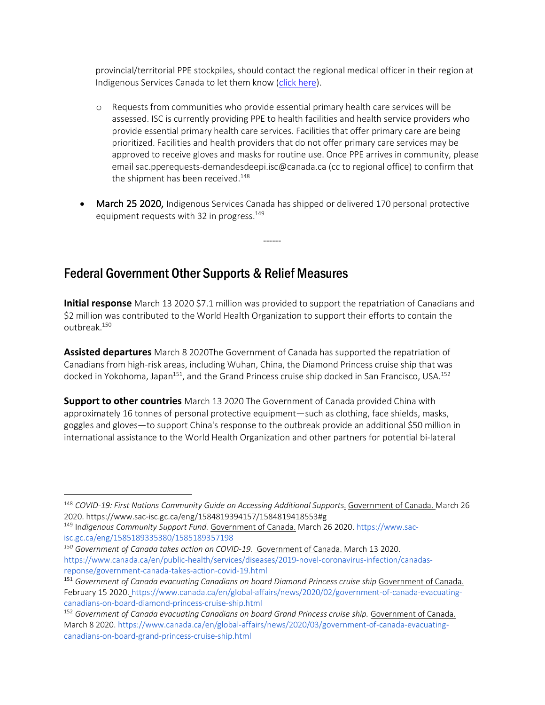provincial/territorial PPE stockpiles, should contact the regional medical officer in their region at Indigenous Services Canada to let them know (click here).

- o Requests from communities who provide essential primary health care services will be assessed. ISC is currently providing PPE to health facilities and health service providers who provide essential primary health care services. Facilities that offer primary care are being prioritized. Facilities and health providers that do not offer primary care services may be approved to receive gloves and masks for routine use. Once PPE arrives in community, please email sac.pperequests-demandesdeepi.isc@canada.ca (cc to regional office) to confirm that the shipment has been received. $148$
- March 25 2020, Indigenous Services Canada has shipped or delivered 170 personal protective equipment requests with 32 in progress.<sup>149</sup>

------

## Federal Government Other Supports & Relief Measures

**Initial response** March 13 2020 \$7.1 million was provided to support the repatriation of Canadians and \$2 million was contributed to the World Health Organization to support their efforts to contain the outhreak $150$ 

**Assisted departures** March 8 2020The Government of Canada has supported the repatriation of Canadians from high-risk areas, including Wuhan, China, the Diamond Princess cruise ship that was docked in Yokohoma, Japan<sup>151</sup>, and the Grand Princess cruise ship docked in San Francisco, USA.<sup>152</sup>

**Support to other countries** March 13 2020 The Government of Canada provided China with approximately 16 tonnes of personal protective equipment—such as clothing, face shields, masks, goggles and gloves—to support China's response to the outbreak provide an additional \$50 million in international assistance to the World Health Organization and other partners for potential bi-lateral

<sup>148</sup> *COVID-19: First Nations Community Guide on Accessing Additional Supports*. Government of Canada. March 26 2020. https://www.sac-isc.gc.ca/eng/1584819394157/1584819418553#g

<sup>149</sup> In*digenous Community Support Fund.* Government of Canada. March 26 2020. https://www.sacisc.gc.ca/eng/1585189335380/1585189357198

*<sup>150</sup> Government of Canada takes action on COVID-19.* Government of Canada. March 13 2020. https://www.canada.ca/en/public-health/services/diseases/2019-novel-coronavirus-infection/canadasreponse/government-canada-takes-action-covid-19.html

<sup>151</sup> *Government of Canada evacuating Canadians on board Diamond Princess cruise ship* Government of Canada. February 15 2020. https://www.canada.ca/en/global-affairs/news/2020/02/government-of-canada-evacuatingcanadians-on-board-diamond-princess-cruise-ship.html

<sup>152</sup> *Government of Canada evacuating Canadians on board Grand Princess cruise ship.* Government of Canada. March 8 2020. https://www.canada.ca/en/global-affairs/news/2020/03/government-of-canada-evacuatingcanadians-on-board-grand-princess-cruise-ship.html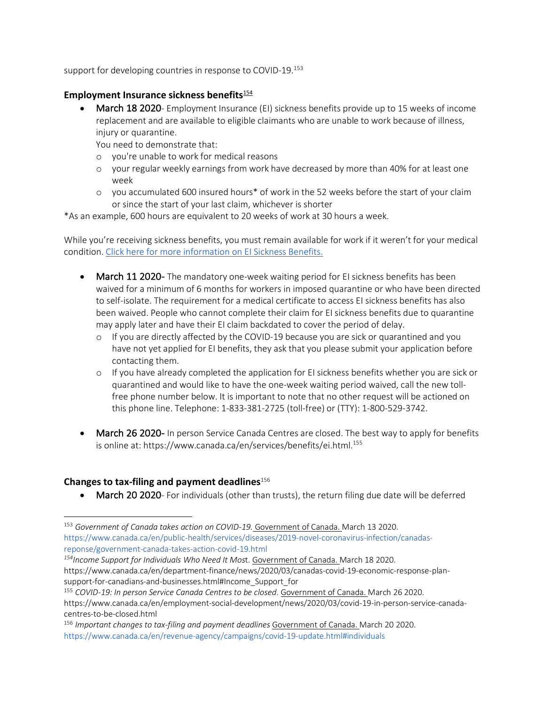support for developing countries in response to COVID-19.<sup>153</sup>

#### **Employment Insurance sickness benefits**<sup>154</sup>

**March 18 2020**- Employment Insurance (EI) sickness benefits provide up to 15 weeks of income replacement and are available to eligible claimants who are unable to work because of illness, injury or quarantine.

You need to demonstrate that:

- o you're unable to work for medical reasons
- o your regular weekly earnings from work have decreased by more than 40% for at least one week
- o you accumulated 600 insured hours\* of work in the 52 weeks before the start of your claim or since the start of your last claim, whichever is shorter

\*As an example, 600 hours are equivalent to 20 weeks of work at 30 hours a week.

While you're receiving sickness benefits, you must remain available for work if it weren't for your medical condition. Click here for more information on EI Sickness Benefits.

- March 11 2020- The mandatory one-week waiting period for EI sickness benefits has been waived for a minimum of 6 months for workers in imposed quarantine or who have been directed to self-isolate. The requirement for a medical certificate to access EI sickness benefits has also been waived. People who cannot complete their claim for EI sickness benefits due to quarantine may apply later and have their EI claim backdated to cover the period of delay.
	- o If you are directly affected by the COVID-19 because you are sick or quarantined and you have not yet applied for EI benefits, they ask that you please submit your application before contacting them.
	- o If you have already completed the application for EI sickness benefits whether you are sick or quarantined and would like to have the one-week waiting period waived, call the new tollfree phone number below. It is important to note that no other request will be actioned on this phone line. Telephone: 1-833-381-2725 (toll-free) or (TTY): 1-800-529-3742.
- March 26 2020- In person Service Canada Centres are closed. The best way to apply for benefits is online at: https://www.canada.ca/en/services/benefits/ei.html.<sup>155</sup>

#### **Changes to tax-filing and payment deadlines**<sup>156</sup>

 $\overline{a}$ 

• March 20 2020- For individuals (other than trusts), the return filing due date will be deferred

<sup>153</sup> *Government of Canada takes action on COVID-19.* Government of Canada. March 13 2020. https://www.canada.ca/en/public-health/services/diseases/2019-novel-coronavirus-infection/canadasreponse/government-canada-takes-action-covid-19.html

*<sup>154</sup>Income Support for Individuals Who Need It Mos*t. Government of Canada. March 18 2020. https://www.canada.ca/en/department-finance/news/2020/03/canadas-covid-19-economic-response-plansupport-for-canadians-and-businesses.html#Income\_Support\_for

<sup>155</sup> *COVID-19: In person Service Canada Centres to be closed*. Government of Canada. March 26 2020. https://www.canada.ca/en/employment-social-development/news/2020/03/covid-19-in-person-service-canadacentres-to-be-closed.html

<sup>156</sup> *Important changes to tax-filing and payment deadlines* Government of Canada. March 20 2020. https://www.canada.ca/en/revenue-agency/campaigns/covid-19-update.html#individuals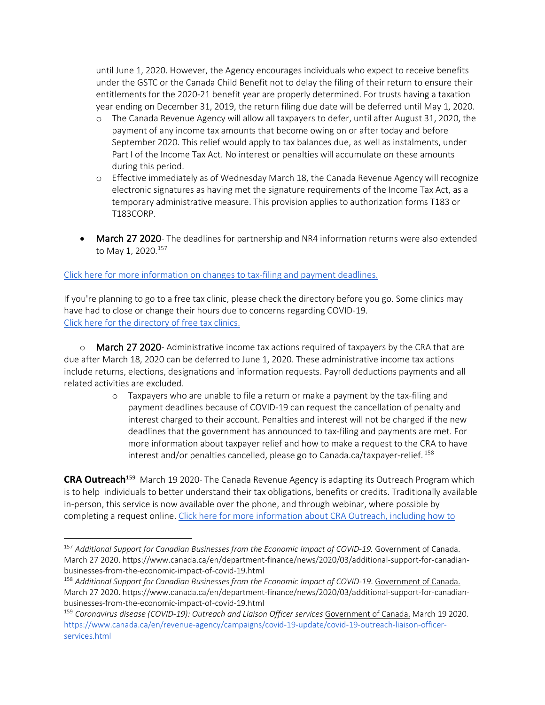until June 1, 2020. However, the Agency encourages individuals who expect to receive benefits under the GSTC or the Canada Child Benefit not to delay the filing of their return to ensure their entitlements for the 2020-21 benefit year are properly determined. For trusts having a taxation year ending on December 31, 2019, the return filing due date will be deferred until May 1, 2020.

- o The Canada Revenue Agency will allow all taxpayers to defer, until after August 31, 2020, the payment of any income tax amounts that become owing on or after today and before September 2020. This relief would apply to tax balances due, as well as instalments, under Part I of the Income Tax Act. No interest or penalties will accumulate on these amounts during this period.
- o Effective immediately as of Wednesday March 18, the Canada Revenue Agency will recognize electronic signatures as having met the signature requirements of the Income Tax Act, as a temporary administrative measure. This provision applies to authorization forms T183 or T183CORP.
- **March 27 2020** The deadlines for partnership and NR4 information returns were also extended to May 1, 2020.<sup>157</sup>

#### Click here for more information on changes to tax-filing and payment deadlines.

If you're planning to go to a free tax clinic, please check the directory before you go. Some clinics may have had to close or change their hours due to concerns regarding COVID-19. Click here for the directory of free tax clinics.

March 27 2020- Administrative income tax actions required of taxpayers by the CRA that are due after March 18, 2020 can be deferred to June 1, 2020. These administrative income tax actions include returns, elections, designations and information requests. Payroll deductions payments and all related activities are excluded.

o Taxpayers who are unable to file a return or make a payment by the tax-filing and payment deadlines because of COVID-19 can request the cancellation of penalty and interest charged to their account. Penalties and interest will not be charged if the new deadlines that the government has announced to tax-filing and payments are met. For more information about taxpayer relief and how to make a request to the CRA to have interest and/or penalties cancelled, please go to Canada.ca/taxpayer-relief. <sup>158</sup>

**CRA Outreach**<sup>159</sup>March 19 2020- The Canada Revenue Agency is adapting its Outreach Program which is to help individuals to better understand their tax obligations, benefits or credits. Traditionally available in-person, this service is now available over the phone, and through webinar, where possible by completing a request online. Click here for more information about CRA Outreach, including how to

<sup>157</sup> *Additional Support for Canadian Businesses from the Economic Impact of COVID-19.* Government of Canada. March 27 2020. https://www.canada.ca/en/department-finance/news/2020/03/additional-support-for-canadianbusinesses-from-the-economic-impact-of-covid-19.html

<sup>158</sup> *Additional Support for Canadian Businesses from the Economic Impact of COVID-19*. Government of Canada. March 27 2020. https://www.canada.ca/en/department-finance/news/2020/03/additional-support-for-canadianbusinesses-from-the-economic-impact-of-covid-19.html

<sup>159</sup> *Coronavirus disease (COVID-19): Outreach and Liaison Officer services* Government of Canada. March 19 2020. https://www.canada.ca/en/revenue-agency/campaigns/covid-19-update/covid-19-outreach-liaison-officerservices.html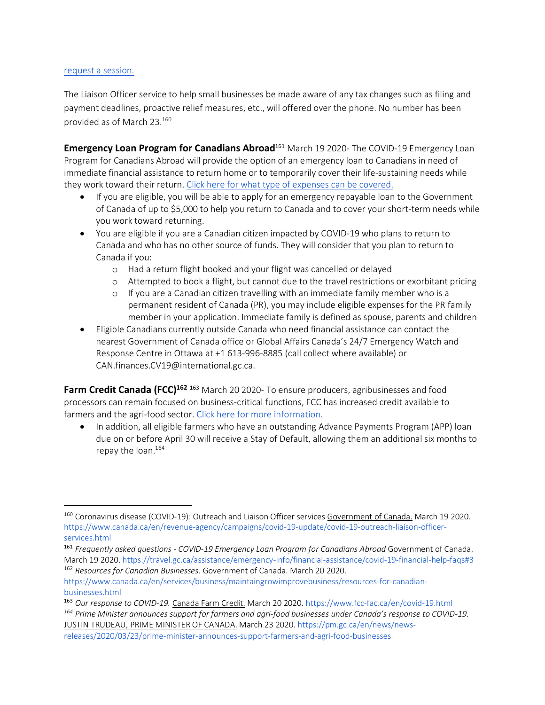#### request a session.

 $\overline{a}$ 

The Liaison Officer service to help small businesses be made aware of any tax changes such as filing and payment deadlines, proactive relief measures, etc., will offered over the phone. No number has been provided as of March 23.160

**Emergency Loan Program for Canadians Abroad<sup>161</sup> March 19 2020- The COVID-19 Emergency Loan** Program for Canadians Abroad will provide the option of an emergency loan to Canadians in need of immediate financial assistance to return home or to temporarily cover their life-sustaining needs while they work toward their return. Click here for what type of expenses can be covered.

- If you are eligible, you will be able to apply for an emergency repayable loan to the Government of Canada of up to \$5,000 to help you return to Canada and to cover your short-term needs while you work toward returning.
- You are eligible if you are a Canadian citizen impacted by COVID-19 who plans to return to Canada and who has no other source of funds. They will consider that you plan to return to Canada if you:
	- o Had a return flight booked and your flight was cancelled or delayed
	- o Attempted to book a flight, but cannot due to the travel restrictions or exorbitant pricing
	- o If you are a Canadian citizen travelling with an immediate family member who is a permanent resident of Canada (PR), you may include eligible expenses for the PR family member in your application. Immediate family is defined as spouse, parents and children
- Eligible Canadians currently outside Canada who need financial assistance can contact the nearest Government of Canada office or Global Affairs Canada's 24/7 Emergency Watch and Response Centre in Ottawa at +1 613-996-8885 (call collect where available) or CAN.finances.CV19@international.gc.ca.

**Farm Credit Canada (FCC)<sup>162</sup> <sup>163</sup> March 20 2020- To ensure producers, agribusinesses and food** processors can remain focused on business-critical functions, FCC has increased credit available to farmers and the agri-food sector. Click here for more information.

• In addition, all eligible farmers who have an outstanding Advance Payments Program (APP) loan due on or before April 30 will receive a Stay of Default, allowing them an additional six months to repay the loan.164

<sup>160</sup> Coronavirus disease (COVID-19): Outreach and Liaison Officer services Government of Canada. March 19 2020. https://www.canada.ca/en/revenue-agency/campaigns/covid-19-update/covid-19-outreach-liaison-officerservices.html

<sup>161</sup> *Frequently asked questions - COVID-19 Emergency Loan Program for Canadians Abroad* Government of Canada. March 19 2020. https://travel.gc.ca/assistance/emergency-info/financial-assistance/covid-19-financial-help-faqs#3 <sup>162</sup> *Resources for Canadian Businesses.* Government of Canada. March 20 2020.

https://www.canada.ca/en/services/business/maintaingrowimprovebusiness/resources-for-canadianbusinesses.html

<sup>163</sup> *Our response to COVID-19.* Canada Farm Credit. March 20 2020. https://www.fcc-fac.ca/en/covid-19.html

*<sup>164</sup> Prime Minister announces support for farmers and agri-food businesses under Canada's response to COVID-19.* JUSTIN TRUDEAU, PRIME MINISTER OF CANADA. March 23 2020. https://pm.gc.ca/en/news/news-

releases/2020/03/23/prime-minister-announces-support-farmers-and-agri-food-businesses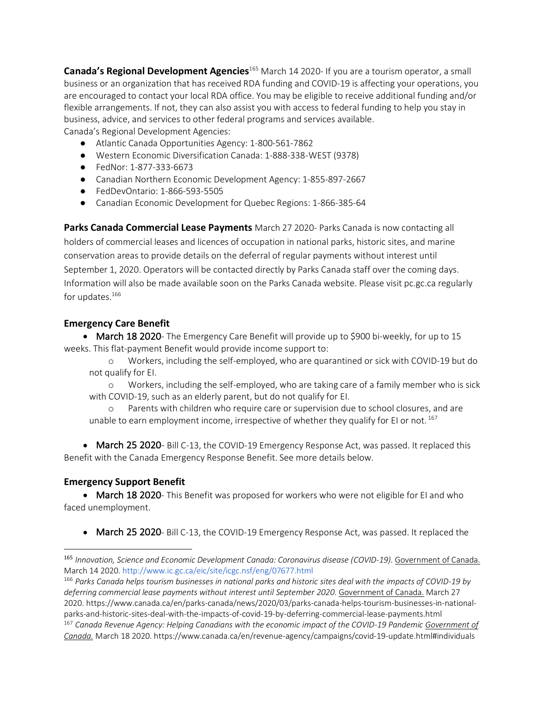**Canada's Regional Development Agencies**<sup>165</sup> March 14 2020- If you are a tourism operator, a small business or an organization that has received RDA funding and COVID-19 is affecting your operations, you are encouraged to contact your local RDA office. You may be eligible to receive additional funding and/or flexible arrangements. If not, they can also assist you with access to federal funding to help you stay in business, advice, and services to other federal programs and services available. Canada's Regional Development Agencies:

- Atlantic Canada Opportunities Agency: 1-800-561-7862
- Western Economic Diversification Canada: 1-888-338-WEST (9378)
- FedNor: 1-877-333-6673
- Canadian Northern Economic Development Agency: 1-855-897-2667
- FedDevOntario: 1-866-593-5505
- Canadian Economic Development for Quebec Regions: 1-866-385-64

**Parks Canada Commercial Lease Payments** March 27 2020- Parks Canada is now contacting all holders of commercial leases and licences of occupation in national parks, historic sites, and marine conservation areas to provide details on the deferral of regular payments without interest until September 1, 2020. Operators will be contacted directly by Parks Canada staff over the coming days. Information will also be made available soon on the Parks Canada website. Please visit pc.gc.ca regularly for updates. $166$ 

#### **Emergency Care Benefit**

• March 18 2020- The Emergency Care Benefit will provide up to \$900 bi-weekly, for up to 15 weeks. This flat-payment Benefit would provide income support to:

o Workers, including the self-employed, who are quarantined or sick with COVID-19 but do not qualify for EI.

o Workers, including the self-employed, who are taking care of a family member who is sick with COVID-19, such as an elderly parent, but do not qualify for EI.

o Parents with children who require care or supervision due to school closures, and are unable to earn employment income, irrespective of whether they qualify for EI or not.<sup>167</sup>

• March 25 2020- Bill C-13, the COVID-19 Emergency Response Act, was passed. It replaced this Benefit with the Canada Emergency Response Benefit. See more details below.

#### **Emergency Support Benefit**

 $\overline{a}$ 

• March 18 2020- This Benefit was proposed for workers who were not eligible for EI and who faced unemployment.

• March 25 2020- Bill C-13, the COVID-19 Emergency Response Act, was passed. It replaced the

<sup>165</sup> *Innovation, Science and Economic Development Canada: Coronavirus disease (COVID-19).* Government of Canada. March 14 2020. http://www.ic.gc.ca/eic/site/icgc.nsf/eng/07677.html

<sup>166</sup> *Parks Canada helps tourism businesses in national parks and historic sites deal with the impacts of COVID-19 by deferring commercial lease payments without interest until September 2020*. Government of Canada. March 27 2020. https://www.canada.ca/en/parks-canada/news/2020/03/parks-canada-helps-tourism-businesses-in-nationalparks-and-historic-sites-deal-with-the-impacts-of-covid-19-by-deferring-commercial-lease-payments.html <sup>167</sup> *Canada Revenue Agency: Helping Canadians with the economic impact of the COVID-19 Pandemic Government of Canada.* March 18 2020. https://www.canada.ca/en/revenue-agency/campaigns/covid-19-update.html#individuals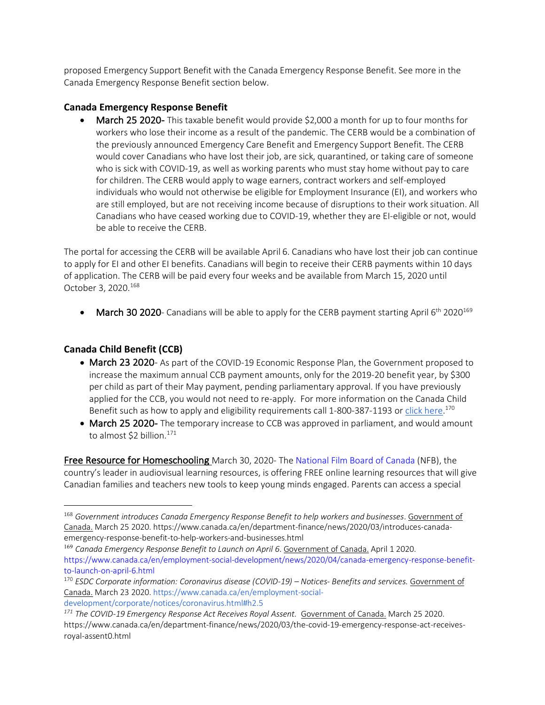proposed Emergency Support Benefit with the Canada Emergency Response Benefit. See more in the Canada Emergency Response Benefit section below.

#### **Canada Emergency Response Benefit**

March 25 2020- This taxable benefit would provide \$2,000 a month for up to four months for workers who lose their income as a result of the pandemic. The CERB would be a combination of the previously announced Emergency Care Benefit and Emergency Support Benefit. The CERB would cover Canadians who have lost their job, are sick, quarantined, or taking care of someone who is sick with COVID-19, as well as working parents who must stay home without pay to care for children. The CERB would apply to wage earners, contract workers and self-employed individuals who would not otherwise be eligible for Employment Insurance (EI), and workers who are still employed, but are not receiving income because of disruptions to their work situation. All Canadians who have ceased working due to COVID-19, whether they are EI-eligible or not, would be able to receive the CERB.

The portal for accessing the CERB will be available April 6. Canadians who have lost their job can continue to apply for EI and other EI benefits. Canadians will begin to receive their CERB payments within 10 days of application. The CERB will be paid every four weeks and be available from March 15, 2020 until October 3, 2020.168

• March 30 2020- Canadians will be able to apply for the CERB payment starting April  $6<sup>th</sup>$  2020<sup>169</sup>

#### **Canada Child Benefit (CCB)**

 $\overline{a}$ 

- March 23 2020- As part of the COVID-19 Economic Response Plan, the Government proposed to increase the maximum annual CCB payment amounts, only for the 2019-20 benefit year, by \$300 per child as part of their May payment, pending parliamentary approval. If you have previously applied for the CCB, you would not need to re-apply. For more information on the Canada Child Benefit such as how to apply and eligibility requirements call 1-800-387-1193 or click here.<sup>170</sup>
- March 25 2020- The temporary increase to CCB was approved in parliament, and would amount to almost \$2 billion.<sup>171</sup>

Free Resource for Homeschooling March 30, 2020- The National Film Board of Canada (NFB), the country's leader in audiovisual learning resources, is offering FREE online learning resources that will give Canadian families and teachers new tools to keep young minds engaged. Parents can access a special

development/corporate/notices/coronavirus.html#h2.5

<sup>168</sup> *Government introduces Canada Emergency Response Benefit to help workers and businesses*. Government of Canada. March 25 2020. https://www.canada.ca/en/department-finance/news/2020/03/introduces-canadaemergency-response-benefit-to-help-workers-and-businesses.html

<sup>169</sup> *Canada Emergency Response Benefit to Launch on April 6*. Government of Canada. April 1 2020. https://www.canada.ca/en/employment-social-development/news/2020/04/canada-emergency-response-benefitto-launch-on-april-6.html

<sup>170</sup> *ESDC Corporate information: Coronavirus disease (COVID-19) – Notices- Benefits and services.* Government of Canada. March 23 2020. https://www.canada.ca/en/employment-social-

*<sup>171</sup> The COVID-19 Emergency Response Act Receives Royal Assent.* Government of Canada. March 25 2020. https://www.canada.ca/en/department-finance/news/2020/03/the-covid-19-emergency-response-act-receivesroyal-assent0.html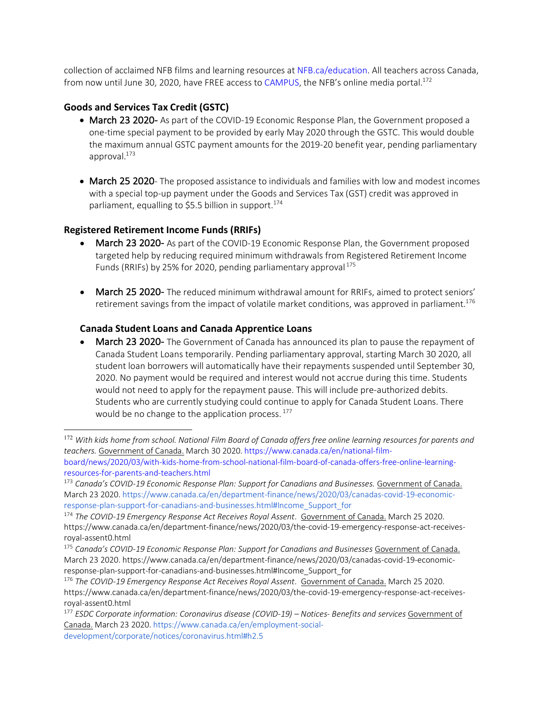collection of acclaimed NFB films and learning resources at NFB.ca/education. All teachers across Canada, from now until June 30, 2020, have FREE access to CAMPUS, the NFB's online media portal.<sup>172</sup>

#### **Goods and Services Tax Credit (GSTC)**

- March 23 2020- As part of the COVID-19 Economic Response Plan, the Government proposed a one-time special payment to be provided by early May 2020 through the GSTC. This would double the maximum annual GSTC payment amounts for the 2019-20 benefit year, pending parliamentary approval.173
- March 25 2020- The proposed assistance to individuals and families with low and modest incomes with a special top-up payment under the Goods and Services Tax (GST) credit was approved in parliament, equalling to \$5.5 billion in support.<sup>174</sup>

#### **Registered Retirement Income Funds (RRIFs)**

- March 23 2020- As part of the COVID-19 Economic Response Plan, the Government proposed targeted help by reducing required minimum withdrawals from Registered Retirement Income Funds (RRIFs) by 25% for 2020, pending parliamentary approval  $175$
- March 25 2020- The reduced minimum withdrawal amount for RRIFs, aimed to protect seniors' retirement savings from the impact of volatile market conditions, was approved in parliament.<sup>176</sup>

#### **Canada Student Loans and Canada Apprentice Loans**

March 23 2020- The Government of Canada has announced its plan to pause the repayment of Canada Student Loans temporarily. Pending parliamentary approval, starting March 30 2020, all student loan borrowers will automatically have their repayments suspended until September 30, 2020. No payment would be required and interest would not accrue during this time. Students would not need to apply for the repayment pause. This will include pre-authorized debits. Students who are currently studying could continue to apply for Canada Student Loans. There would be no change to the application process.<sup>177</sup>

 <sup>172</sup> *With kids home from school. National Film Board of Canada offers free online learning resources for parents and teachers.* Government of Canada. March 30 2020. https://www.canada.ca/en/national-film-

board/news/2020/03/with-kids-home-from-school-national-film-board-of-canada-offers-free-online-learningresources-for-parents-and-teachers.html

<sup>173</sup> *Canada's COVID-19 Economic Response Plan: Support for Canadians and Businesses.* Government of Canada. March 23 2020. https://www.canada.ca/en/department-finance/news/2020/03/canadas-covid-19-economicresponse-plan-support-for-canadians-and-businesses.html#Income\_Support\_for

<sup>174</sup> *The COVID-19 Emergency Response Act Receives Royal Assent*. Government of Canada. March 25 2020. https://www.canada.ca/en/department-finance/news/2020/03/the-covid-19-emergency-response-act-receivesroyal-assent0.html

<sup>175</sup> *Canada's COVID-19 Economic Response Plan: Support for Canadians and Businesses* Government of Canada. March 23 2020. https://www.canada.ca/en/department-finance/news/2020/03/canadas-covid-19-economicresponse-plan-support-for-canadians-and-businesses.html#Income\_Support\_for

<sup>176</sup> *The COVID-19 Emergency Response Act Receives Royal Assent*. Government of Canada. March 25 2020. https://www.canada.ca/en/department-finance/news/2020/03/the-covid-19-emergency-response-act-receivesroyal-assent0.html

<sup>177</sup> *ESDC Corporate information: Coronavirus disease (COVID-19) – Notices- Benefits and services* Government of Canada. March 23 2020. https://www.canada.ca/en/employment-socialdevelopment/corporate/notices/coronavirus.html#h2.5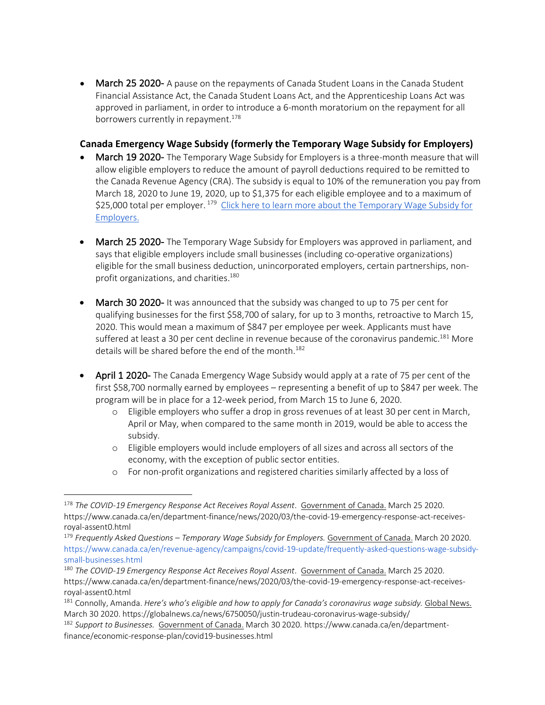• March 25 2020- A pause on the repayments of Canada Student Loans in the Canada Student Financial Assistance Act, the Canada Student Loans Act, and the Apprenticeship Loans Act was approved in parliament, in order to introduce a 6-month moratorium on the repayment for all borrowers currently in repayment.<sup>178</sup>

#### **Canada Emergency Wage Subsidy (formerly the Temporary Wage Subsidy for Employers)**

- March 19 2020- The Temporary Wage Subsidy for Employers is a three-month measure that will allow eligible employers to reduce the amount of payroll deductions required to be remitted to the Canada Revenue Agency (CRA). The subsidy is equal to 10% of the remuneration you pay from March 18, 2020 to June 19, 2020, up to \$1,375 for each eligible employee and to a maximum of \$25,000 total per employer.<sup>179</sup> Click here to learn more about the Temporary Wage Subsidy for Employers.
- March 25 2020- The Temporary Wage Subsidy for Employers was approved in parliament, and says that eligible employers include small businesses (including co-operative organizations) eligible for the small business deduction, unincorporated employers, certain partnerships, nonprofit organizations, and charities.<sup>180</sup>
- **March 30 2020-** It was announced that the subsidy was changed to up to 75 per cent for qualifying businesses for the first \$58,700 of salary, for up to 3 months, retroactive to March 15, 2020. This would mean a maximum of \$847 per employee per week. Applicants must have suffered at least a 30 per cent decline in revenue because of the coronavirus pandemic.<sup>181</sup> More details will be shared before the end of the month.<sup>182</sup>
- April 1 2020- The Canada Emergency Wage Subsidy would apply at a rate of 75 per cent of the first \$58,700 normally earned by employees – representing a benefit of up to \$847 per week. The program will be in place for a 12-week period, from March 15 to June 6, 2020.
	- o Eligible employers who suffer a drop in gross revenues of at least 30 per cent in March, April or May, when compared to the same month in 2019, would be able to access the subsidy.
	- o Eligible employers would include employers of all sizes and across all sectors of the economy, with the exception of public sector entities.
	- o For non-profit organizations and registered charities similarly affected by a loss of

<sup>178</sup> *The COVID-19 Emergency Response Act Receives Royal Assent*. Government of Canada. March 25 2020. https://www.canada.ca/en/department-finance/news/2020/03/the-covid-19-emergency-response-act-receivesroyal-assent0.html

<sup>179</sup> *Frequently Asked Questions – Temporary Wage Subsidy for Employers.* Government of Canada. March 20 2020. https://www.canada.ca/en/revenue-agency/campaigns/covid-19-update/frequently-asked-questions-wage-subsidysmall-businesses.html

<sup>180</sup> *The COVID-19 Emergency Response Act Receives Royal Assent*. Government of Canada. March 25 2020. https://www.canada.ca/en/department-finance/news/2020/03/the-covid-19-emergency-response-act-receivesroyal-assent0.html

<sup>181</sup> Connolly, Amanda. *Here's who's eligible and how to apply for Canada's coronavirus wage subsidy.* Global News. March 30 2020. https://globalnews.ca/news/6750050/justin-trudeau-coronavirus-wage-subsidy/

<sup>182</sup> *Support to Businesses.* Government of Canada. March 30 2020. https://www.canada.ca/en/departmentfinance/economic-response-plan/covid19-businesses.html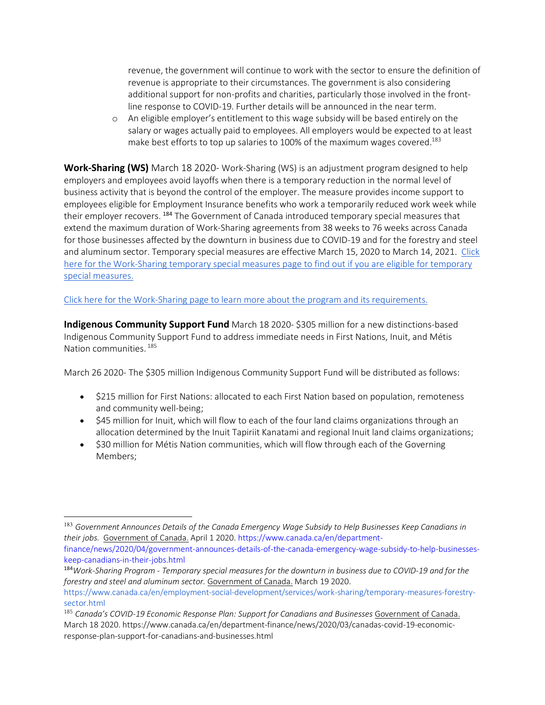revenue, the government will continue to work with the sector to ensure the definition of revenue is appropriate to their circumstances. The government is also considering additional support for non-profits and charities, particularly those involved in the frontline response to COVID-19. Further details will be announced in the near term.

o An eligible employer's entitlement to this wage subsidy will be based entirely on the salary or wages actually paid to employees. All employers would be expected to at least make best efforts to top up salaries to 100% of the maximum wages covered.<sup>183</sup>

**Work-Sharing (WS)** March 18 2020- Work-Sharing (WS) is an adjustment program designed to help employers and employees avoid layoffs when there is a temporary reduction in the normal level of business activity that is beyond the control of the employer. The measure provides income support to employees eligible for Employment Insurance benefits who work a temporarily reduced work week while their employer recovers.<sup>184</sup> The Government of Canada introduced temporary special measures that extend the maximum duration of Work-Sharing agreements from 38 weeks to 76 weeks across Canada for those businesses affected by the downturn in business due to COVID-19 and for the forestry and steel and aluminum sector. Temporary special measures are effective March 15, 2020 to March 14, 2021. Click here for the Work-Sharing temporary special measures page to find out if you are eligible for temporary special measures.

Click here for the Work-Sharing page to learn more about the program and its requirements.

**Indigenous Community Support Fund** March 18 2020- \$305 million for a new distinctions-based Indigenous Community Support Fund to address immediate needs in First Nations, Inuit, and Métis Nation communities. <sup>185</sup>

March 26 2020- The \$305 million Indigenous Community Support Fund will be distributed as follows:

- \$215 million for First Nations: allocated to each First Nation based on population, remoteness and community well-being;
- \$45 million for Inuit, which will flow to each of the four land claims organizations through an allocation determined by the Inuit Tapiriit Kanatami and regional Inuit land claims organizations;
- \$30 million for Métis Nation communities, which will flow through each of the Governing Members;

finance/news/2020/04/government-announces-details-of-the-canada-emergency-wage-subsidy-to-help-businesseskeep-canadians-in-their-jobs.html

 <sup>183</sup> *Government Announces Details of the Canada Emergency Wage Subsidy to Help Businesses Keep Canadians in their jobs.* Government of Canada. April 1 2020. https://www.canada.ca/en/department-

<sup>184</sup>*Work-Sharing Program - Temporary special measures for the downturn in business due to COVID-19 and for the forestry and steel and aluminum sector.* Government of Canada. March 19 2020.

https://www.canada.ca/en/employment-social-development/services/work-sharing/temporary-measures-forestrysector.html

<sup>185</sup> *Canada's COVID-19 Economic Response Plan: Support for Canadians and Businesses* Government of Canada. March 18 2020. https://www.canada.ca/en/department-finance/news/2020/03/canadas-covid-19-economicresponse-plan-support-for-canadians-and-businesses.html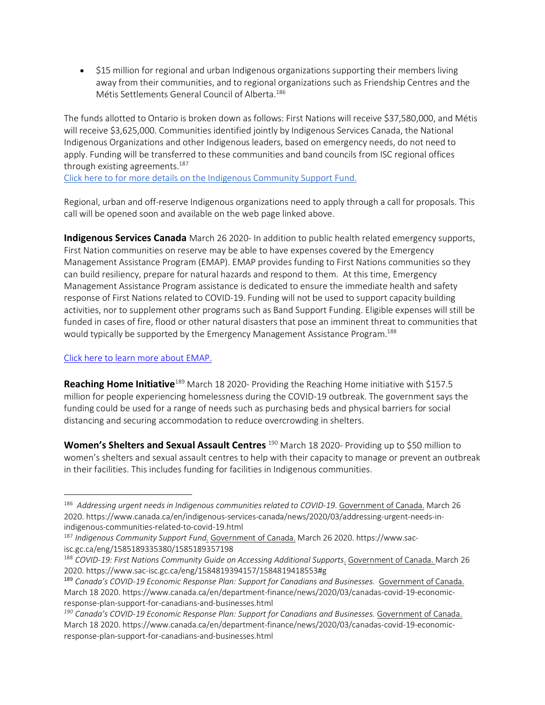• \$15 million for regional and urban Indigenous organizations supporting their members living away from their communities, and to regional organizations such as Friendship Centres and the Métis Settlements General Council of Alberta.186

The funds allotted to Ontario is broken down as follows: First Nations will receive \$37,580,000, and Métis will receive \$3,625,000. Communities identified jointly by Indigenous Services Canada, the National Indigenous Organizations and other Indigenous leaders, based on emergency needs, do not need to apply. Funding will be transferred to these communities and band councils from ISC regional offices through existing agreements.<sup>187</sup>

Click here to for more details on the Indigenous Community Support Fund.

Regional, urban and off-reserve Indigenous organizations need to apply through a call for proposals. This call will be opened soon and available on the web page linked above.

**Indigenous Services Canada** March 26 2020- In addition to public health related emergency supports, First Nation communities on reserve may be able to have expenses covered by the Emergency Management Assistance Program (EMAP). EMAP provides funding to First Nations communities so they can build resiliency, prepare for natural hazards and respond to them. At this time, Emergency Management Assistance Program assistance is dedicated to ensure the immediate health and safety response of First Nations related to COVID-19. Funding will not be used to support capacity building activities, nor to supplement other programs such as Band Support Funding. Eligible expenses will still be funded in cases of fire, flood or other natural disasters that pose an imminent threat to communities that would typically be supported by the Emergency Management Assistance Program.<sup>188</sup>

#### Click here to learn more about EMAP.

 $\overline{a}$ 

**Reaching Home Initiative**<sup>189</sup> March 18 2020- Providing the Reaching Home initiative with \$157.5 million for people experiencing homelessness during the COVID-19 outbreak. The government says the funding could be used for a range of needs such as purchasing beds and physical barriers for social distancing and securing accommodation to reduce overcrowding in shelters.

Women's Shelters and Sexual Assault Centres<sup>190</sup> March 18 2020- Providing up to \$50 million to women's shelters and sexual assault centres to help with their capacity to manage or prevent an outbreak in their facilities. This includes funding for facilities in Indigenous communities.

<sup>186</sup> *Addressing urgent needs in Indigenous communities related to COVID-19*. Government of Canada. March 26 2020. https://www.canada.ca/en/indigenous-services-canada/news/2020/03/addressing-urgent-needs-inindigenous-communities-related-to-covid-19.html

<sup>187</sup> *Indigenous Community Support Fund.* Government of Canada. March 26 2020. https://www.sacisc.gc.ca/eng/1585189335380/1585189357198

<sup>188</sup> *COVID-19: First Nations Community Guide on Accessing Additional Supports*. Government of Canada. March 26 2020. https://www.sac-isc.gc.ca/eng/1584819394157/1584819418553#g

<sup>&</sup>lt;sup>189</sup> Canada's COVID-19 Economic Response Plan: Support for Canadians and Businesses. Government of Canada. March 18 2020. https://www.canada.ca/en/department-finance/news/2020/03/canadas-covid-19-economicresponse-plan-support-for-canadians-and-businesses.html

*<sup>190</sup> Canada's COVID-19 Economic Response Plan: Support for Canadians and Businesses.* Government of Canada. March 18 2020. https://www.canada.ca/en/department-finance/news/2020/03/canadas-covid-19-economicresponse-plan-support-for-canadians-and-businesses.html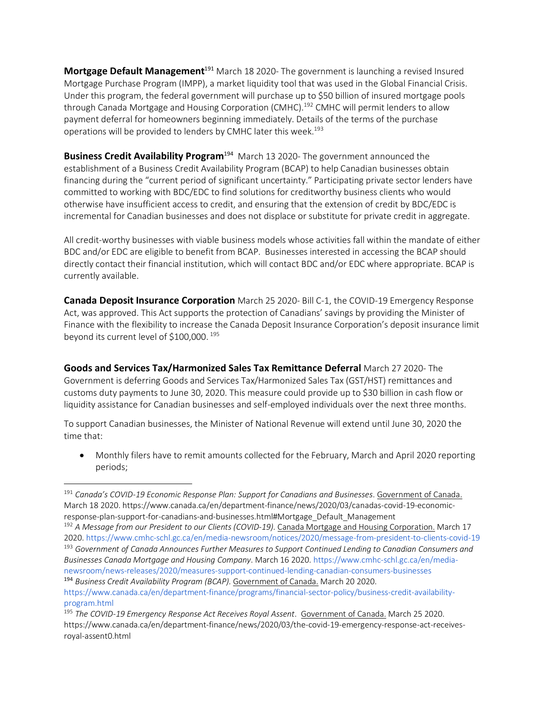**Mortgage Default Management**<sup>191</sup> March 18 2020- The government is launching a revised Insured Mortgage Purchase Program (IMPP), a market liquidity tool that was used in the Global Financial Crisis. Under this program, the federal government will purchase up to \$50 billion of insured mortgage pools through Canada Mortgage and Housing Corporation (CMHC).<sup>192</sup> CMHC will permit lenders to allow payment deferral for homeowners beginning immediately. Details of the terms of the purchase operations will be provided to lenders by CMHC later this week.<sup>193</sup>

**Business Credit Availability Program**<sup>194</sup> March 13 2020- The government announced the establishment of a Business Credit Availability Program (BCAP) to help Canadian businesses obtain financing during the "current period of significant uncertainty." Participating private sector lenders have committed to working with BDC/EDC to find solutions for creditworthy business clients who would otherwise have insufficient access to credit, and ensuring that the extension of credit by BDC/EDC is incremental for Canadian businesses and does not displace or substitute for private credit in aggregate.

All credit-worthy businesses with viable business models whose activities fall within the mandate of either BDC and/or EDC are eligible to benefit from BCAP. Businesses interested in accessing the BCAP should directly contact their financial institution, which will contact BDC and/or EDC where appropriate. BCAP is currently available.

**Canada Deposit Insurance Corporation** March 25 2020- Bill C-1, the COVID-19 Emergency Response Act, was approved. This Act supports the protection of Canadians' savings by providing the Minister of Finance with the flexibility to increase the Canada Deposit Insurance Corporation's deposit insurance limit beyond its current level of \$100,000. <sup>195</sup>

**Goods and Services Tax/Harmonized Sales Tax Remittance Deferral** March 27 2020- The Government is deferring Goods and Services Tax/Harmonized Sales Tax (GST/HST) remittances and customs duty payments to June 30, 2020. This measure could provide up to \$30 billion in cash flow or liquidity assistance for Canadian businesses and self-employed individuals over the next three months.

To support Canadian businesses, the Minister of National Revenue will extend until June 30, 2020 the time that:

• Monthly filers have to remit amounts collected for the February, March and April 2020 reporting periods;

 $\overline{a}$ 

<sup>192</sup> *A Message from our President to our Clients (COVID-19).* Canada Mortgage and Housing Corporation. March 17 2020. https://www.cmhc-schl.gc.ca/en/media-newsroom/notices/2020/message-from-president-to-clients-covid-19 <sup>193</sup> *Government of Canada Announces Further Measures to Support Continued Lending to Canadian Consumers and Businesses Canada Mortgage and Housing Company*. March 16 2020. https://www.cmhc-schl.gc.ca/en/medianewsroom/news-releases/2020/measures-support-continued-lending-canadian-consumers-businesses <sup>194</sup> *Business Credit Availability Program (BCAP).* Government of Canada. March 20 2020.

<sup>191</sup> *Canada's COVID-19 Economic Response Plan: Support for Canadians and Businesses*. Government of Canada. March 18 2020. https://www.canada.ca/en/department-finance/news/2020/03/canadas-covid-19-economicresponse-plan-support-for-canadians-and-businesses.html#Mortgage\_Default\_Management

https://www.canada.ca/en/department-finance/programs/financial-sector-policy/business-credit-availabilityprogram.html

<sup>195</sup> *The COVID-19 Emergency Response Act Receives Royal Assent*. Government of Canada. March 25 2020. https://www.canada.ca/en/department-finance/news/2020/03/the-covid-19-emergency-response-act-receivesroyal-assent0.html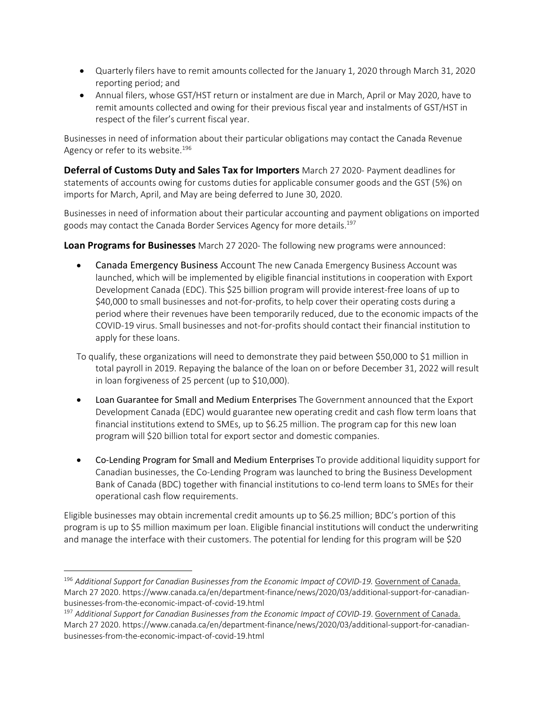- Quarterly filers have to remit amounts collected for the January 1, 2020 through March 31, 2020 reporting period; and
- Annual filers, whose GST/HST return or instalment are due in March, April or May 2020, have to remit amounts collected and owing for their previous fiscal year and instalments of GST/HST in respect of the filer's current fiscal year.

Businesses in need of information about their particular obligations may contact the Canada Revenue Agency or refer to its website.<sup>196</sup>

**Deferral of Customs Duty and Sales Tax for Importers** March 27 2020- Payment deadlines for statements of accounts owing for customs duties for applicable consumer goods and the GST (5%) on imports for March, April, and May are being deferred to June 30, 2020.

Businesses in need of information about their particular accounting and payment obligations on imported goods may contact the Canada Border Services Agency for more details.197

**Loan Programs for Businesses** March 27 2020- The following new programs were announced:

• Canada Emergency Business Account The new Canada Emergency Business Account was launched, which will be implemented by eligible financial institutions in cooperation with Export Development Canada (EDC). This \$25 billion program will provide interest-free loans of up to \$40,000 to small businesses and not-for-profits, to help cover their operating costs during a period where their revenues have been temporarily reduced, due to the economic impacts of the COVID-19 virus. Small businesses and not-for-profits should contact their financial institution to apply for these loans.

To qualify, these organizations will need to demonstrate they paid between \$50,000 to \$1 million in total payroll in 2019. Repaying the balance of the loan on or before December 31, 2022 will result in loan forgiveness of 25 percent (up to \$10,000).

- Loan Guarantee for Small and Medium Enterprises The Government announced that the Export Development Canada (EDC) would guarantee new operating credit and cash flow term loans that financial institutions extend to SMEs, up to \$6.25 million. The program cap for this new loan program will \$20 billion total for export sector and domestic companies.
- Co-Lending Program for Small and Medium Enterprises To provide additional liquidity support for Canadian businesses, the Co-Lending Program was launched to bring the Business Development Bank of Canada (BDC) together with financial institutions to co-lend term loans to SMEs for their operational cash flow requirements.

Eligible businesses may obtain incremental credit amounts up to \$6.25 million; BDC's portion of this program is up to \$5 million maximum per loan. Eligible financial institutions will conduct the underwriting and manage the interface with their customers. The potential for lending for this program will be \$20

<sup>196</sup> *Additional Support for Canadian Businesses from the Economic Impact of COVID-19.* Government of Canada. March 27 2020. https://www.canada.ca/en/department-finance/news/2020/03/additional-support-for-canadianbusinesses-from-the-economic-impact-of-covid-19.html

<sup>197</sup> *Additional Support for Canadian Businesses from the Economic Impact of COVID-19*. Government of Canada. March 27 2020. https://www.canada.ca/en/department-finance/news/2020/03/additional-support-for-canadianbusinesses-from-the-economic-impact-of-covid-19.html